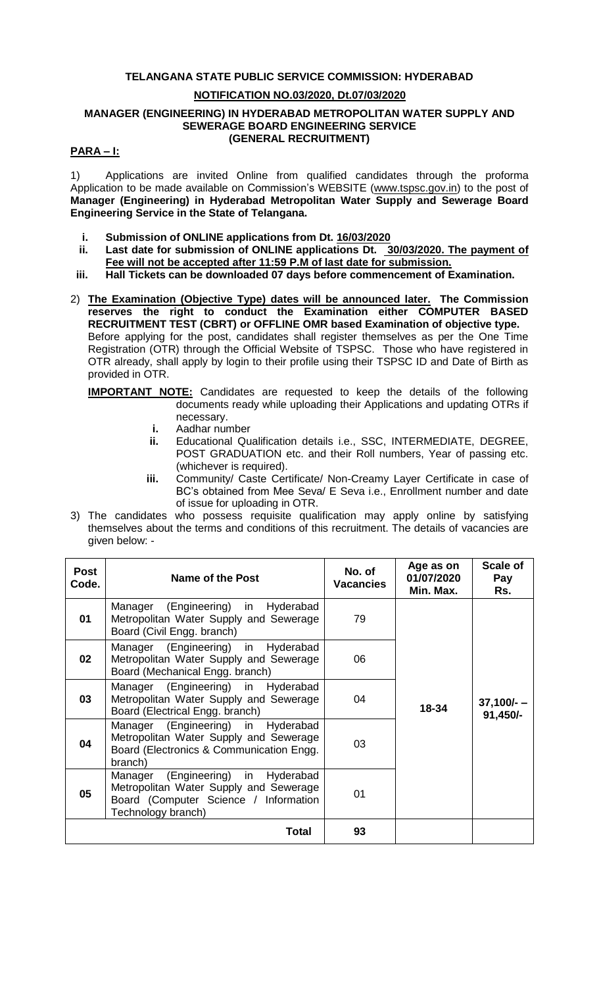# **TELANGANA STATE PUBLIC SERVICE COMMISSION: HYDERABAD**

### **NOTIFICATION NO.03/2020, Dt.07/03/2020**

#### **MANAGER (ENGINEERING) IN HYDERABAD METROPOLITAN WATER SUPPLY AND SEWERAGE BOARD ENGINEERING SERVICE (GENERAL RECRUITMENT)**

### **PARA – I:**

1) Applications are invited Online from qualified candidates through the proforma Application to be made available on Commission's WEBSITE [\(www.tspsc.gov.in\)](http://www.tspsc.gov.in/) to the post of **Manager (Engineering) in Hyderabad Metropolitan Water Supply and Sewerage Board Engineering Service in the State of Telangana.**

- **i. Submission of ONLINE applications from Dt. 16/03/2020**
- **ii. Last date for submission of ONLINE applications Dt. 30/03/2020. The payment of Fee will not be accepted after 11:59 P.M of last date for submission.**
- **iii. Hall Tickets can be downloaded 07 days before commencement of Examination.**
- 2) **The Examination (Objective Type) dates will be announced later. The Commission reserves the right to conduct the Examination either COMPUTER BASED RECRUITMENT TEST (CBRT) or OFFLINE OMR based Examination of objective type.** Before applying for the post, candidates shall register themselves as per the One Time Registration (OTR) through the Official Website of TSPSC. Those who have registered in OTR already, shall apply by login to their profile using their TSPSC ID and Date of Birth as provided in OTR.
	- **IMPORTANT NOTE:** Candidates are requested to keep the details of the following documents ready while uploading their Applications and updating OTRs if necessary.
		- **i.** Aadhar number
		- **ii.** Educational Qualification details i.e., SSC, INTERMEDIATE, DEGREE, POST GRADUATION etc. and their Roll numbers, Year of passing etc. (whichever is required).
		- **iii.** Community/ Caste Certificate/ Non-Creamy Layer Certificate in case of BC's obtained from Mee Seva/ E Seva i.e., Enrollment number and date of issue for uploading in OTR.
- 3) The candidates who possess requisite qualification may apply online by satisfying themselves about the terms and conditions of this recruitment. The details of vacancies are given below: -

| <b>Post</b><br>Code. | <b>Name of the Post</b>                                                                                                                        | No. of<br><b>Vacancies</b> | Age as on<br>01/07/2020<br>Min. Max. | <b>Scale of</b><br>Pay<br>Rs. |
|----------------------|------------------------------------------------------------------------------------------------------------------------------------------------|----------------------------|--------------------------------------|-------------------------------|
| 01                   | Manager (Engineering) in Hyderabad<br>Metropolitan Water Supply and Sewerage<br>Board (Civil Engg. branch)                                     | 79                         |                                      |                               |
| 02                   | Manager (Engineering) in Hyderabad<br>Metropolitan Water Supply and Sewerage<br>Board (Mechanical Engg. branch)                                | 06                         |                                      |                               |
| 03                   | Manager (Engineering) in Hyderabad<br>Metropolitan Water Supply and Sewerage<br>Board (Electrical Engg. branch)                                | 04                         | 18-34                                | $37,100/-$<br>91,450/-        |
| 04                   | Manager (Engineering) in Hyderabad<br>Metropolitan Water Supply and Sewerage<br>Board (Electronics & Communication Engg.<br>branch)            | 03                         |                                      |                               |
| 05                   | (Engineering) in Hyderabad<br>Manager<br>Metropolitan Water Supply and Sewerage<br>Board (Computer Science / Information<br>Technology branch) | 01                         |                                      |                               |
|                      | Total                                                                                                                                          | 93                         |                                      |                               |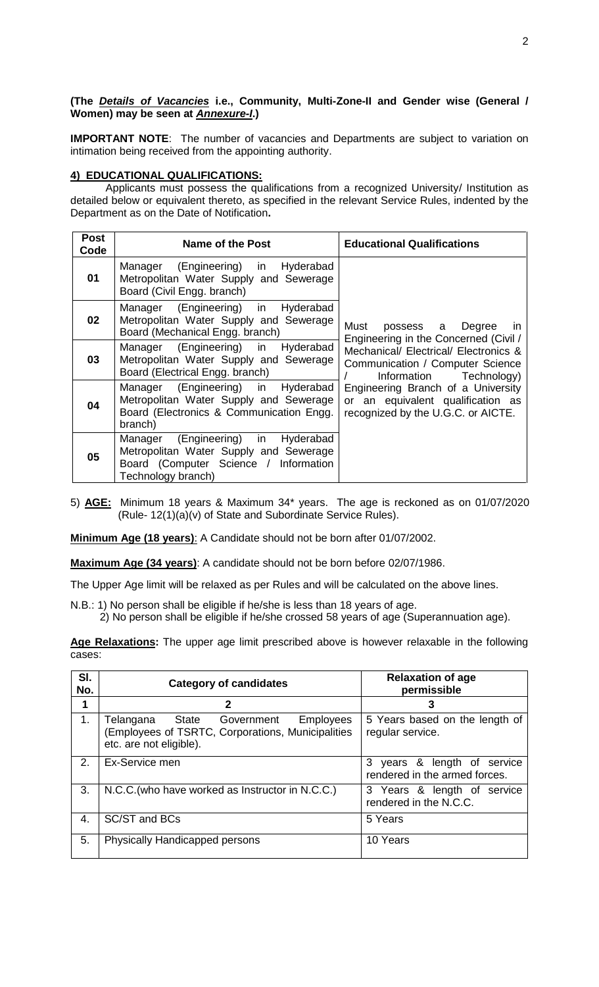# **(The** *Details of Vacancies* **i.e., Community, Multi-Zone-II and Gender wise (General / Women) may be seen at** *Annexure-I***.)**

**IMPORTANT NOTE:** The number of vacancies and Departments are subject to variation on intimation being received from the appointing authority.

# **4) EDUCATIONAL QUALIFICATIONS:**

Applicants must possess the qualifications from a recognized University/ Institution as detailed below or equivalent thereto, as specified in the relevant Service Rules, indented by the Department as on the Date of Notification**.**

| <b>Post</b><br>Code | Name of the Post                                                                                                                            | <b>Educational Qualifications</b>                                                                             |
|---------------------|---------------------------------------------------------------------------------------------------------------------------------------------|---------------------------------------------------------------------------------------------------------------|
| 01                  | Manager (Engineering) in Hyderabad<br>Metropolitan Water Supply and Sewerage<br>Board (Civil Engg. branch)                                  |                                                                                                               |
| 02                  | Manager (Engineering) in Hyderabad<br>Metropolitan Water Supply and Sewerage<br>Board (Mechanical Engg. branch)                             | Must possess a Degree<br>in<br>Engineering in the Concerned (Civil /                                          |
| 03                  | Manager (Engineering) in Hyderabad<br>Metropolitan Water Supply and Sewerage<br>Board (Electrical Engg. branch)                             | Mechanical/ Electrical/ Electronics &<br>Communication / Computer Science<br>Information Technology)          |
| 04                  | Manager (Engineering) in Hyderabad<br>Metropolitan Water Supply and Sewerage<br>Board (Electronics & Communication Engg.<br>branch)         | Engineering Branch of a University<br>or an equivalent qualification as<br>recognized by the U.G.C. or AICTE. |
| 05                  | Manager (Engineering) in Hyderabad<br>Metropolitan Water Supply and Sewerage<br>Board (Computer Science / Information<br>Technology branch) |                                                                                                               |

5) **AGE:** Minimum 18 years & Maximum 34\* years. The age is reckoned as on 01/07/2020 (Rule- 12(1)(a)(v) of State and Subordinate Service Rules).

**Minimum Age (18 years)**: A Candidate should not be born after 01/07/2002.

**Maximum Age (34 years)**: A candidate should not be born before 02/07/1986.

The Upper Age limit will be relaxed as per Rules and will be calculated on the above lines.

N.B.: 1) No person shall be eligible if he/she is less than 18 years of age. 2) No person shall be eligible if he/she crossed 58 years of age (Superannuation age).

**Age Relaxations:** The upper age limit prescribed above is however relaxable in the following cases:

| SI.<br>No.     | <b>Category of candidates</b>                                                                                              | <b>Relaxation of age</b><br>permissible                         |
|----------------|----------------------------------------------------------------------------------------------------------------------------|-----------------------------------------------------------------|
|                | 2                                                                                                                          |                                                                 |
| 1.             | Telangana State<br>Employees<br>Government<br>(Employees of TSRTC, Corporations, Municipalities<br>etc. are not eligible). | 5 Years based on the length of<br>regular service.              |
| 2 <sub>1</sub> | Ex-Service men                                                                                                             | 3<br>years & length of service<br>rendered in the armed forces. |
| 3.             | N.C.C. (who have worked as Instructor in N.C.C.)                                                                           | 3 Years & length of service<br>rendered in the N.C.C.           |
| 4.             | SC/ST and BCs                                                                                                              | 5 Years                                                         |
| 5.             | Physically Handicapped persons                                                                                             | 10 Years                                                        |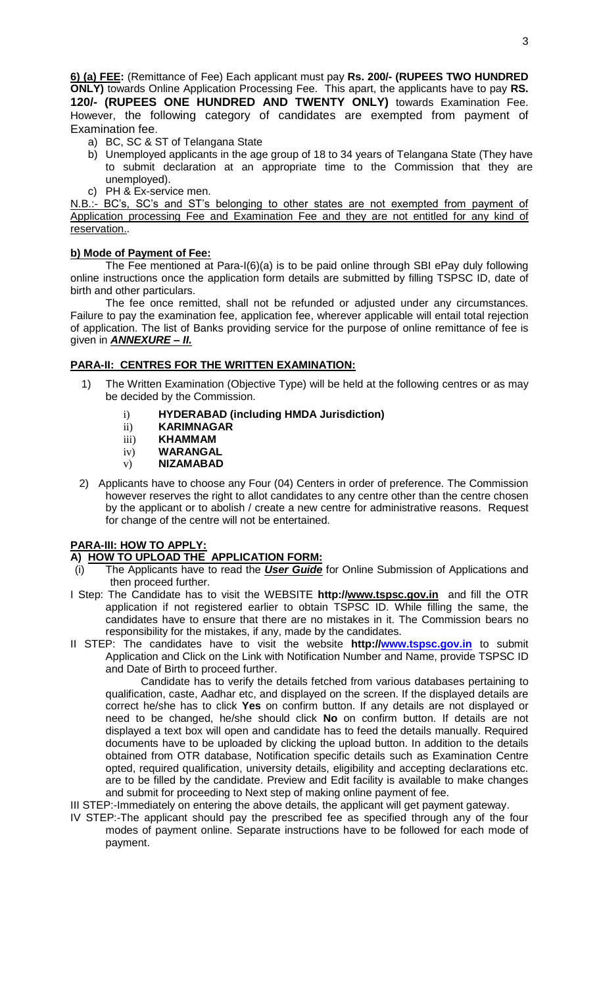**6) (a) FEE:** (Remittance of Fee) Each applicant must pay **Rs. 200/- (RUPEES TWO HUNDRED ONLY)** towards Online Application Processing Fee. This apart, the applicants have to pay **RS. 120/- (RUPEES ONE HUNDRED AND TWENTY ONLY)** towards Examination Fee. However, the following category of candidates are exempted from payment of Examination fee.

- a) BC, SC & ST of Telangana State
- b) Unemployed applicants in the age group of 18 to 34 years of Telangana State (They have to submit declaration at an appropriate time to the Commission that they are unemployed).
- c) PH & Ex-service men.

N.B.:- BC's, SC's and ST's belonging to other states are not exempted from payment of Application processing Fee and Examination Fee and they are not entitled for any kind of reservation..

# **b) Mode of Payment of Fee:**

The Fee mentioned at Para-I(6)(a) is to be paid online through SBI ePay duly following online instructions once the application form details are submitted by filling TSPSC ID, date of birth and other particulars.

The fee once remitted, shall not be refunded or adjusted under any circumstances. Failure to pay the examination fee, application fee, wherever applicable will entail total rejection of application. The list of Banks providing service for the purpose of online remittance of fee is given in *ANNEXURE – II.*

# **PARA-II: CENTRES FOR THE WRITTEN EXAMINATION:**

- 1) The Written Examination (Objective Type) will be held at the following centres or as may be decided by the Commission.
	- i) **HYDERABAD (including HMDA Jurisdiction)**
	- ii) **KARIMNAGAR**
	- iii) **KHAMMAM**
	- iv) **WARANGAL**
	- v) **NIZAMABAD**
- 2) Applicants have to choose any Four (04) Centers in order of preference. The Commission however reserves the right to allot candidates to any centre other than the centre chosen by the applicant or to abolish / create a new centre for administrative reasons. Request for change of the centre will not be entertained.

# **PARA-III: HOW TO APPLY:**

# **A) HOW TO UPLOAD THE APPLICATION FORM:**

- (i) The Applicants have to read the *User Guide* for Online Submission of Applications and then proceed further.
- I Step: The Candidate has to visit the WEBSITE **http:/[/www.tspsc.gov.in](http://www.tspsc.gov.in/)** and fill the OTR application if not registered earlier to obtain TSPSC ID. While filling the same, the candidates have to ensure that there are no mistakes in it. The Commission bears no responsibility for the mistakes, if any, made by the candidates.
- II STEP: The candidates have to visit the website **http:/[/www.tspsc.gov.in](http://www.tspsc.gov.in/)** to submit Application and Click on the Link with Notification Number and Name, provide TSPSC ID and Date of Birth to proceed further.

Candidate has to verify the details fetched from various databases pertaining to qualification, caste, Aadhar etc, and displayed on the screen. If the displayed details are correct he/she has to click **Yes** on confirm button. If any details are not displayed or need to be changed, he/she should click **No** on confirm button. If details are not displayed a text box will open and candidate has to feed the details manually. Required documents have to be uploaded by clicking the upload button. In addition to the details obtained from OTR database, Notification specific details such as Examination Centre opted, required qualification, university details, eligibility and accepting declarations etc. are to be filled by the candidate. Preview and Edit facility is available to make changes and submit for proceeding to Next step of making online payment of fee.

III STEP:-Immediately on entering the above details, the applicant will get payment gateway.

IV STEP:-The applicant should pay the prescribed fee as specified through any of the four modes of payment online. Separate instructions have to be followed for each mode of payment.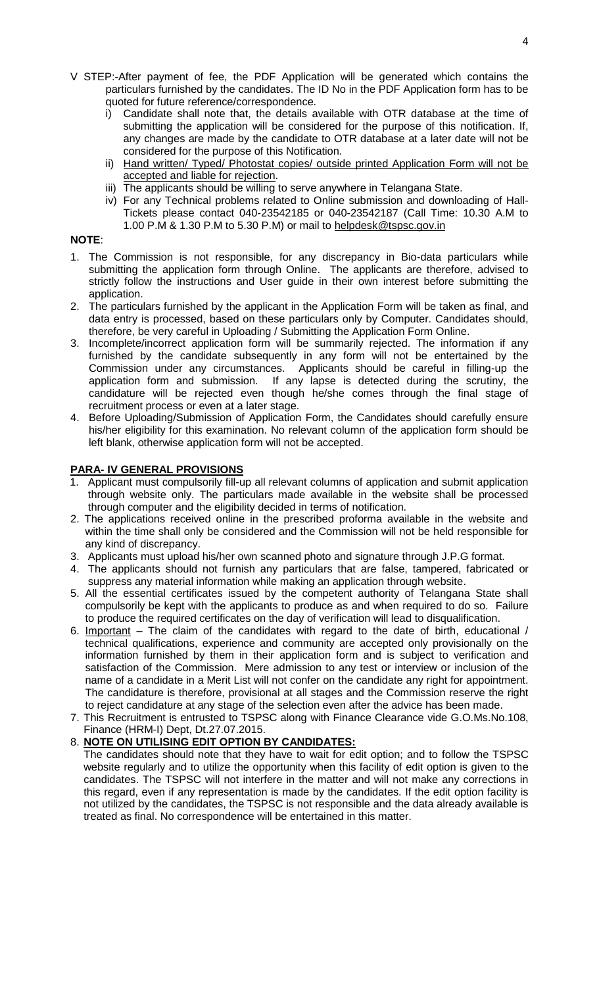- V STEP:-After payment of fee, the PDF Application will be generated which contains the particulars furnished by the candidates. The ID No in the PDF Application form has to be quoted for future reference/correspondence.
	- i) Candidate shall note that, the details available with OTR database at the time of submitting the application will be considered for the purpose of this notification. If, any changes are made by the candidate to OTR database at a later date will not be considered for the purpose of this Notification.
	- ii) Hand written/ Typed/ Photostat copies/ outside printed Application Form will not be accepted and liable for rejection.
	- iii) The applicants should be willing to serve anywhere in Telangana State.
	- iv) For any Technical problems related to Online submission and downloading of Hall-Tickets please contact 040-23542185 or 040-23542187 (Call Time: 10.30 A.M to 1.00 P.M & 1.30 P.M to 5.30 P.M) or mail to [helpdesk@tspsc.gov.in](mailto:helpdesk@tspsc.gov.in)

# **NOTE**:

- 1. The Commission is not responsible, for any discrepancy in Bio-data particulars while submitting the application form through Online. The applicants are therefore, advised to strictly follow the instructions and User guide in their own interest before submitting the application.
- 2. The particulars furnished by the applicant in the Application Form will be taken as final, and data entry is processed, based on these particulars only by Computer. Candidates should, therefore, be very careful in Uploading / Submitting the Application Form Online.
- 3. Incomplete/incorrect application form will be summarily rejected. The information if any furnished by the candidate subsequently in any form will not be entertained by the Commission under any circumstances. Applicants should be careful in filling-up the application form and submission. If any lapse is detected during the scrutiny, the candidature will be rejected even though he/she comes through the final stage of recruitment process or even at a later stage.
- 4. Before Uploading/Submission of Application Form, the Candidates should carefully ensure his/her eligibility for this examination. No relevant column of the application form should be left blank, otherwise application form will not be accepted.

# **PARA- IV GENERAL PROVISIONS**

- 1. Applicant must compulsorily fill-up all relevant columns of application and submit application through website only. The particulars made available in the website shall be processed through computer and the eligibility decided in terms of notification.
- 2. The applications received online in the prescribed proforma available in the website and within the time shall only be considered and the Commission will not be held responsible for any kind of discrepancy.
- 3. Applicants must upload his/her own scanned photo and signature through J.P.G format.
- 4. The applicants should not furnish any particulars that are false, tampered, fabricated or suppress any material information while making an application through website.
- 5. All the essential certificates issued by the competent authority of Telangana State shall compulsorily be kept with the applicants to produce as and when required to do so. Failure to produce the required certificates on the day of verification will lead to disqualification.
- 6. Important The claim of the candidates with regard to the date of birth, educational / technical qualifications, experience and community are accepted only provisionally on the information furnished by them in their application form and is subject to verification and satisfaction of the Commission. Mere admission to any test or interview or inclusion of the name of a candidate in a Merit List will not confer on the candidate any right for appointment. The candidature is therefore, provisional at all stages and the Commission reserve the right to reject candidature at any stage of the selection even after the advice has been made.
- 7. This Recruitment is entrusted to TSPSC along with Finance Clearance vide G.O.Ms.No.108, Finance (HRM-I) Dept, Dt.27.07.2015.

# 8. **NOTE ON UTILISING EDIT OPTION BY CANDIDATES:**

The candidates should note that they have to wait for edit option; and to follow the TSPSC website regularly and to utilize the opportunity when this facility of edit option is given to the candidates. The TSPSC will not interfere in the matter and will not make any corrections in this regard, even if any representation is made by the candidates. If the edit option facility is not utilized by the candidates, the TSPSC is not responsible and the data already available is treated as final. No correspondence will be entertained in this matter.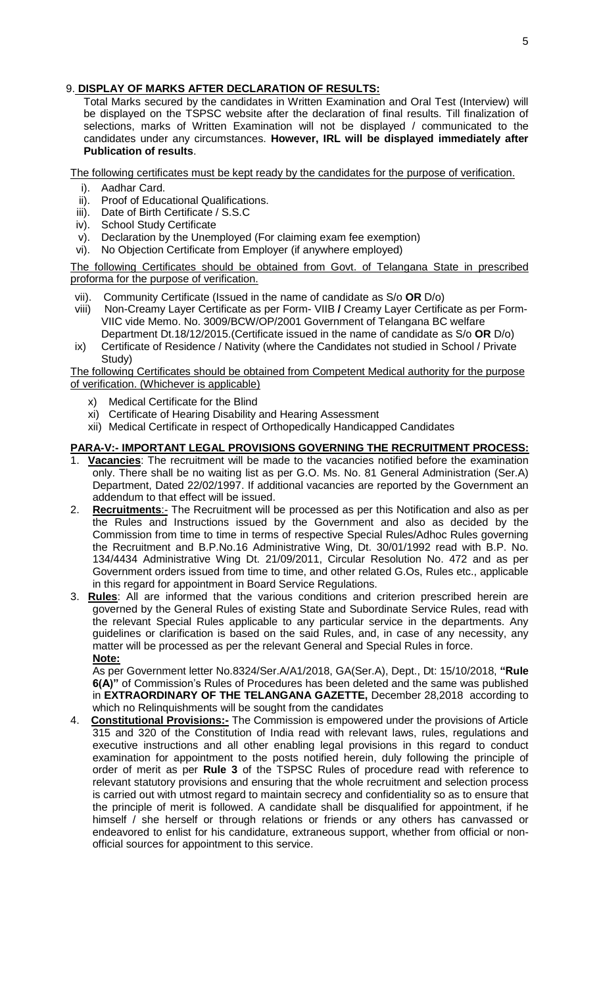# 9. **DISPLAY OF MARKS AFTER DECLARATION OF RESULTS:**

Total Marks secured by the candidates in Written Examination and Oral Test (Interview) will be displayed on the TSPSC website after the declaration of final results. Till finalization of selections, marks of Written Examination will not be displayed / communicated to the candidates under any circumstances. **However, IRL will be displayed immediately after Publication of results**.

The following certificates must be kept ready by the candidates for the purpose of verification.

- i). Aadhar Card.
- ii). Proof of Educational Qualifications.
- iii). Date of Birth Certificate / S.S.C
- iv). School Study Certificate
- v). Declaration by the Unemployed (For claiming exam fee exemption)
- vi). No Objection Certificate from Employer (if anywhere employed)

### The following Certificates should be obtained from Govt. of Telangana State in prescribed proforma for the purpose of verification.

- vii). Community Certificate (Issued in the name of candidate as S/o **OR** D/o)
- viii) Non-Creamy Layer Certificate as per Form- VIIB **/** Creamy Layer Certificate as per Form-VIIC vide Memo. No. 3009/BCW/OP/2001 Government of Telangana BC welfare
- Department Dt.18/12/2015.(Certificate issued in the name of candidate as S/o **OR** D/o) ix) Certificate of Residence / Nativity (where the Candidates not studied in School / Private Study)

The following Certificates should be obtained from Competent Medical authority for the purpose of verification. (Whichever is applicable)

- x) Medical Certificate for the Blind
- xi) Certificate of Hearing Disability and Hearing Assessment
- xii) Medical Certificate in respect of Orthopedically Handicapped Candidates

# **PARA-V:- IMPORTANT LEGAL PROVISIONS GOVERNING THE RECRUITMENT PROCESS:**

- 1. **Vacancies**: The recruitment will be made to the vacancies notified before the examination only. There shall be no waiting list as per G.O. Ms. No. 81 General Administration (Ser.A) Department, Dated 22/02/1997. If additional vacancies are reported by the Government an addendum to that effect will be issued.
- 2. **Recruitments**:- The Recruitment will be processed as per this Notification and also as per the Rules and Instructions issued by the Government and also as decided by the Commission from time to time in terms of respective Special Rules/Adhoc Rules governing the Recruitment and B.P.No.16 Administrative Wing, Dt. 30/01/1992 read with B.P. No. 134/4434 Administrative Wing Dt. 21/09/2011, Circular Resolution No. 472 and as per Government orders issued from time to time, and other related G.Os, Rules etc., applicable in this regard for appointment in Board Service Regulations.
- 3. **Rules**: All are informed that the various conditions and criterion prescribed herein are governed by the General Rules of existing State and Subordinate Service Rules, read with the relevant Special Rules applicable to any particular service in the departments. Any guidelines or clarification is based on the said Rules, and, in case of any necessity, any matter will be processed as per the relevant General and Special Rules in force. **Note:**

As per Government letter No.8324/Ser.A/A1/2018, GA(Ser.A), Dept., Dt: 15/10/2018, **"Rule 6(A)"** of Commission's Rules of Procedures has been deleted and the same was published in **EXTRAORDINARY OF THE TELANGANA GAZETTE,** December 28,2018 according to which no Relinquishments will be sought from the candidates

4. **Constitutional Provisions:-** The Commission is empowered under the provisions of Article 315 and 320 of the Constitution of India read with relevant laws, rules, regulations and executive instructions and all other enabling legal provisions in this regard to conduct examination for appointment to the posts notified herein, duly following the principle of order of merit as per **Rule 3** of the TSPSC Rules of procedure read with reference to relevant statutory provisions and ensuring that the whole recruitment and selection process is carried out with utmost regard to maintain secrecy and confidentiality so as to ensure that the principle of merit is followed. A candidate shall be disqualified for appointment, if he himself / she herself or through relations or friends or any others has canvassed or endeavored to enlist for his candidature, extraneous support, whether from official or nonofficial sources for appointment to this service.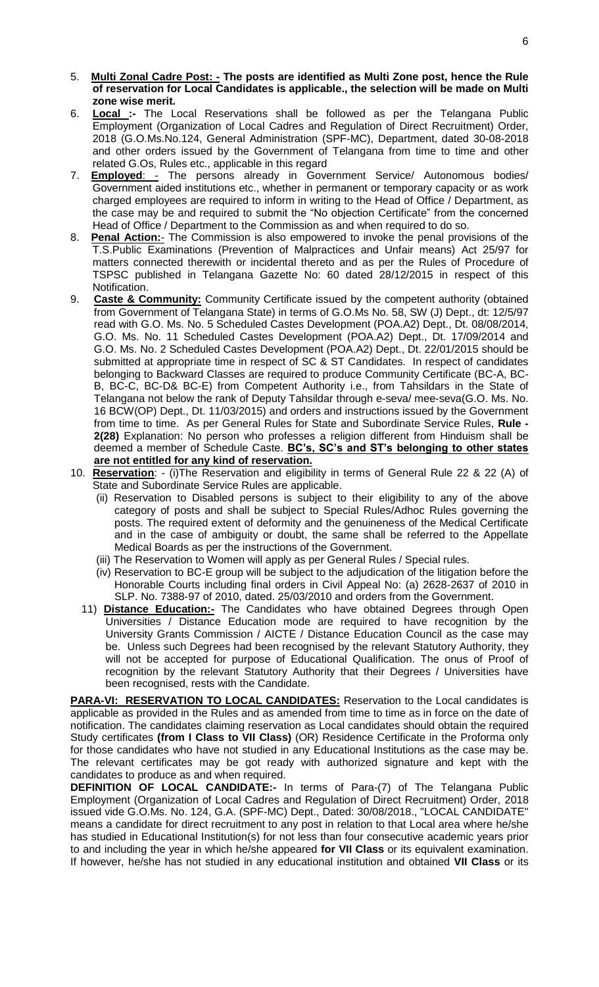- 5. **Multi Zonal Cadre Post: - The posts are identified as Multi Zone post, hence the Rule of reservation for Local Candidates is applicable., the selection will be made on Multi zone wise merit.**
- 6. **Local :-** The Local Reservations shall be followed as per the Telangana Public Employment (Organization of Local Cadres and Regulation of Direct Recruitment) Order, 2018 (G.O.Ms.No.124, General Administration (SPF-MC), Department, dated 30-08-2018 and other orders issued by the Government of Telangana from time to time and other related G.Os, Rules etc., applicable in this regard
- 7. **Employed**: The persons already in Government Service/ Autonomous bodies/ Government aided institutions etc., whether in permanent or temporary capacity or as work charged employees are required to inform in writing to the Head of Office / Department, as the case may be and required to submit the "No objection Certificate" from the concerned Head of Office / Department to the Commission as and when required to do so.
- 8. **Penal Action:** The Commission is also empowered to invoke the penal provisions of the T.S.Public Examinations (Prevention of Malpractices and Unfair means) Act 25/97 for matters connected therewith or incidental thereto and as per the Rules of Procedure of TSPSC published in Telangana Gazette No: 60 dated 28/12/2015 in respect of this Notification.
- 9. **Caste & Community:** Community Certificate issued by the competent authority (obtained from Government of Telangana State) in terms of G.O.Ms No. 58, SW (J) Dept., dt: 12/5/97 read with G.O. Ms. No. 5 Scheduled Castes Development (POA.A2) Dept., Dt. 08/08/2014, G.O. Ms. No. 11 Scheduled Castes Development (POA.A2) Dept., Dt. 17/09/2014 and G.O. Ms. No. 2 Scheduled Castes Development (POA.A2) Dept., Dt. 22/01/2015 should be submitted at appropriate time in respect of SC & ST Candidates. In respect of candidates belonging to Backward Classes are required to produce Community Certificate (BC-A, BC-B, BC-C, BC-D& BC-E) from Competent Authority i.e., from Tahsildars in the State of Telangana not below the rank of Deputy Tahsildar through e-seva/ mee-seva(G.O. Ms. No. 16 BCW(OP) Dept., Dt. 11/03/2015) and orders and instructions issued by the Government from time to time. As per General Rules for State and Subordinate Service Rules, **Rule - 2(28)** Explanation: No person who professes a religion different from Hinduism shall be deemed a member of Schedule Caste. **BC's, SC's and ST's belonging to other states are not entitled for any kind of reservation.**
- 10. **Reservation**: (i)The Reservation and eligibility in terms of General Rule 22 & 22 (A) of State and Subordinate Service Rules are applicable.
	- (ii) Reservation to Disabled persons is subject to their eligibility to any of the above category of posts and shall be subject to Special Rules/Adhoc Rules governing the posts. The required extent of deformity and the genuineness of the Medical Certificate and in the case of ambiguity or doubt, the same shall be referred to the Appellate Medical Boards as per the instructions of the Government.
	- (iii) The Reservation to Women will apply as per General Rules / Special rules.
	- (iv) Reservation to BC-E group will be subject to the adjudication of the litigation before the Honorable Courts including final orders in Civil Appeal No: (a) 2628-2637 of 2010 in SLP. No. 7388-97 of 2010, dated. 25/03/2010 and orders from the Government.
	- 11) **Distance Education:-** The Candidates who have obtained Degrees through Open Universities / Distance Education mode are required to have recognition by the University Grants Commission / AICTE / Distance Education Council as the case may be. Unless such Degrees had been recognised by the relevant Statutory Authority, they will not be accepted for purpose of Educational Qualification. The onus of Proof of recognition by the relevant Statutory Authority that their Degrees / Universities have been recognised, rests with the Candidate.

**PARA-VI: RESERVATION TO LOCAL CANDIDATES:** Reservation to the Local candidates is applicable as provided in the Rules and as amended from time to time as in force on the date of notification. The candidates claiming reservation as Local candidates should obtain the required Study certificates **(from I Class to VII Class)** (OR) Residence Certificate in the Proforma only for those candidates who have not studied in any Educational Institutions as the case may be. The relevant certificates may be got ready with authorized signature and kept with the candidates to produce as and when required.

**DEFINITION OF LOCAL CANDIDATE:-** In terms of Para-(7) of The Telangana Public Employment (Organization of Local Cadres and Regulation of Direct Recruitment) Order, 2018 issued vide G.O.Ms. No. 124, G.A. (SPF-MC) Dept., Dated: 30/08/2018., "LOCAL CANDIDATE" means a candidate for direct recruitment to any post in relation to that Local area where he/she has studied in Educational Institution(s) for not less than four consecutive academic years prior to and including the year in which he/she appeared **for VII Class** or its equivalent examination. If however, he/she has not studied in any educational institution and obtained **VII Class** or its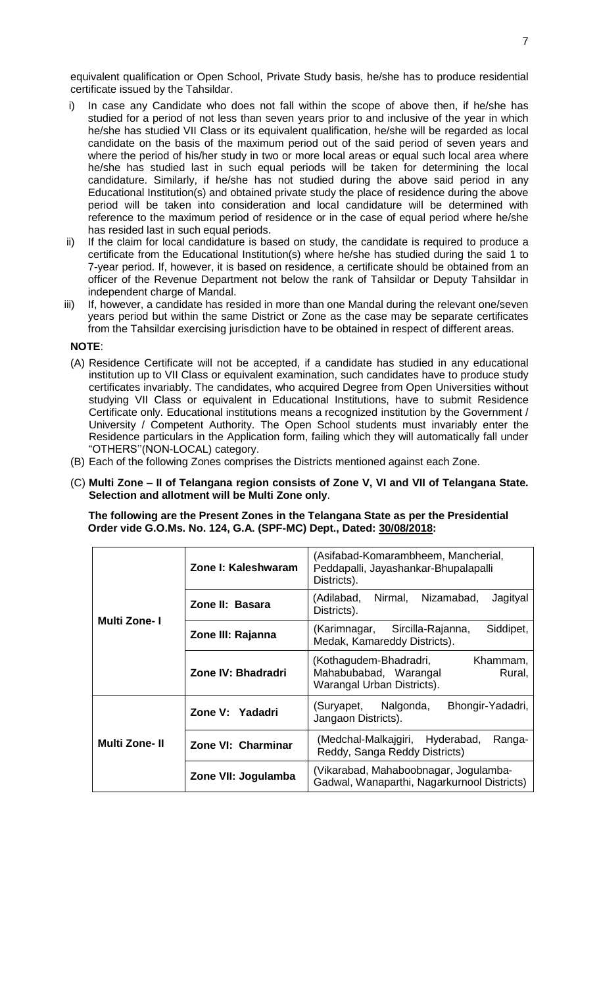equivalent qualification or Open School, Private Study basis, he/she has to produce residential certificate issued by the Tahsildar.

- i) In case any Candidate who does not fall within the scope of above then, if he/she has studied for a period of not less than seven years prior to and inclusive of the year in which he/she has studied VII Class or its equivalent qualification, he/she will be regarded as local candidate on the basis of the maximum period out of the said period of seven years and where the period of his/her study in two or more local areas or equal such local area where he/she has studied last in such equal periods will be taken for determining the local candidature. Similarly, if he/she has not studied during the above said period in any Educational Institution(s) and obtained private study the place of residence during the above period will be taken into consideration and local candidature will be determined with reference to the maximum period of residence or in the case of equal period where he/she has resided last in such equal periods.
- ii) If the claim for local candidature is based on study, the candidate is required to produce a certificate from the Educational Institution(s) where he/she has studied during the said 1 to 7-year period. If, however, it is based on residence, a certificate should be obtained from an officer of the Revenue Department not below the rank of Tahsildar or Deputy Tahsildar in independent charge of Mandal.
- iii) If, however, a candidate has resided in more than one Mandal during the relevant one/seven years period but within the same District or Zone as the case may be separate certificates from the Tahsildar exercising jurisdiction have to be obtained in respect of different areas.

#### **NOTE**:

- (A) Residence Certificate will not be accepted, if a candidate has studied in any educational institution up to VII Class or equivalent examination, such candidates have to produce study certificates invariably. The candidates, who acquired Degree from Open Universities without studying VII Class or equivalent in Educational Institutions, have to submit Residence Certificate only. Educational institutions means a recognized institution by the Government / University / Competent Authority. The Open School students must invariably enter the Residence particulars in the Application form, failing which they will automatically fall under "OTHERS''(NON-LOCAL) category.
- (B) Each of the following Zones comprises the Districts mentioned against each Zone.
- (C) **Multi Zone – II of Telangana region consists of Zone V, VI and VII of Telangana State. Selection and allotment will be Multi Zone only**.

 **The following are the Present Zones in the Telangana State as per the Presidential Order vide G.O.Ms. No. 124, G.A. (SPF-MC) Dept., Dated: 30/08/2018:**

|                     | Zone I: Kaleshwaram | (Asifabad-Komarambheem, Mancherial,<br>Peddapalli, Jayashankar-Bhupalapalli<br>Districts).          |  |  |  |  |  |  |
|---------------------|---------------------|-----------------------------------------------------------------------------------------------------|--|--|--|--|--|--|
|                     | Zone II: Basara     | (Adilabad,<br>Nirmal.<br>Nizamabad,<br>Jagityal<br>Districts).                                      |  |  |  |  |  |  |
| <b>Multi Zone-I</b> | Zone III: Rajanna   | (Karimnagar, Sircilla-Rajanna,<br>Siddipet,<br>Medak, Kamareddy Districts).                         |  |  |  |  |  |  |
|                     | Zone IV: Bhadradri  | (Kothagudem-Bhadradri,<br>Khammam,<br>Mahabubabad, Warangal<br>Rural,<br>Warangal Urban Districts). |  |  |  |  |  |  |
|                     | Zone V: Yadadri     | Bhongir-Yadadri,<br>(Suryapet, Nalgonda,<br>Jangaon Districts).                                     |  |  |  |  |  |  |
| Multi Zone-II       | Zone VI: Charminar  | (Medchal-Malkajgiri, Hyderabad,<br>Ranga-<br>Reddy, Sanga Reddy Districts)                          |  |  |  |  |  |  |
|                     | Zone VII: Jogulamba | (Vikarabad, Mahaboobnagar, Jogulamba-<br>Gadwal, Wanaparthi, Nagarkurnool Districts)                |  |  |  |  |  |  |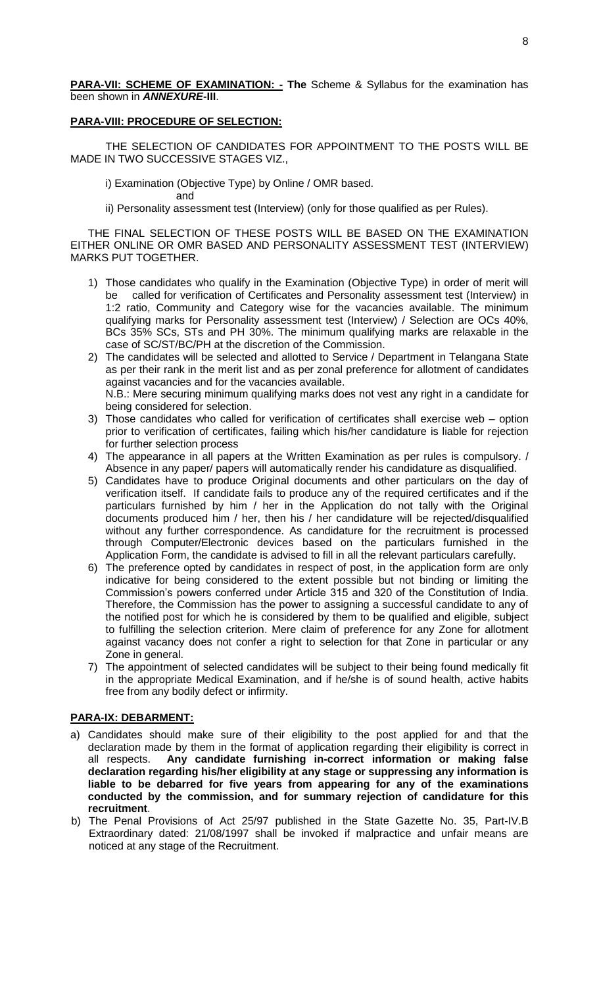**PARA-VII: SCHEME OF EXAMINATION: - The Scheme & Syllabus for the examination has** been shown in *ANNEXURE***-III**.

#### **PARA-VIII: PROCEDURE OF SELECTION:**

THE SELECTION OF CANDIDATES FOR APPOINTMENT TO THE POSTS WILL BE MADE IN TWO SUCCESSIVE STAGES VIZ.,

- i) Examination (Objective Type) by Online / OMR based.
	- and
- ii) Personality assessment test (Interview) (only for those qualified as per Rules).

THE FINAL SELECTION OF THESE POSTS WILL BE BASED ON THE EXAMINATION EITHER ONLINE OR OMR BASED AND PERSONALITY ASSESSMENT TEST (INTERVIEW) MARKS PUT TOGETHER.

- 1) Those candidates who qualify in the Examination (Objective Type) in order of merit will be called for verification of Certificates and Personality assessment test (Interview) in 1:2 ratio, Community and Category wise for the vacancies available. The minimum qualifying marks for Personality assessment test (Interview) / Selection are OCs 40%, BCs 35% SCs, STs and PH 30%. The minimum qualifying marks are relaxable in the case of SC/ST/BC/PH at the discretion of the Commission.
- 2) The candidates will be selected and allotted to Service / Department in Telangana State as per their rank in the merit list and as per zonal preference for allotment of candidates against vacancies and for the vacancies available. N.B.: Mere securing minimum qualifying marks does not vest any right in a candidate for being considered for selection.
- 3) Those candidates who called for verification of certificates shall exercise web option prior to verification of certificates, failing which his/her candidature is liable for rejection for further selection process
- 4) The appearance in all papers at the Written Examination as per rules is compulsory. / Absence in any paper/ papers will automatically render his candidature as disqualified.
- 5) Candidates have to produce Original documents and other particulars on the day of verification itself. If candidate fails to produce any of the required certificates and if the particulars furnished by him / her in the Application do not tally with the Original documents produced him / her, then his / her candidature will be rejected/disqualified without any further correspondence. As candidature for the recruitment is processed through Computer/Electronic devices based on the particulars furnished in the Application Form, the candidate is advised to fill in all the relevant particulars carefully.
- 6) The preference opted by candidates in respect of post, in the application form are only indicative for being considered to the extent possible but not binding or limiting the Commission's powers conferred under Article 315 and 320 of the Constitution of India. Therefore, the Commission has the power to assigning a successful candidate to any of the notified post for which he is considered by them to be qualified and eligible, subject to fulfilling the selection criterion. Mere claim of preference for any Zone for allotment against vacancy does not confer a right to selection for that Zone in particular or any Zone in general.
- 7) The appointment of selected candidates will be subject to their being found medically fit in the appropriate Medical Examination, and if he/she is of sound health, active habits free from any bodily defect or infirmity.

# **PARA-IX: DEBARMENT:**

- a) Candidates should make sure of their eligibility to the post applied for and that the declaration made by them in the format of application regarding their eligibility is correct in all respects. **Any candidate furnishing in-correct information or making false declaration regarding his/her eligibility at any stage or suppressing any information is liable to be debarred for five years from appearing for any of the examinations conducted by the commission, and for summary rejection of candidature for this recruitment**.
- b) The Penal Provisions of Act 25/97 published in the State Gazette No. 35, Part-IV.B Extraordinary dated: 21/08/1997 shall be invoked if malpractice and unfair means are noticed at any stage of the Recruitment.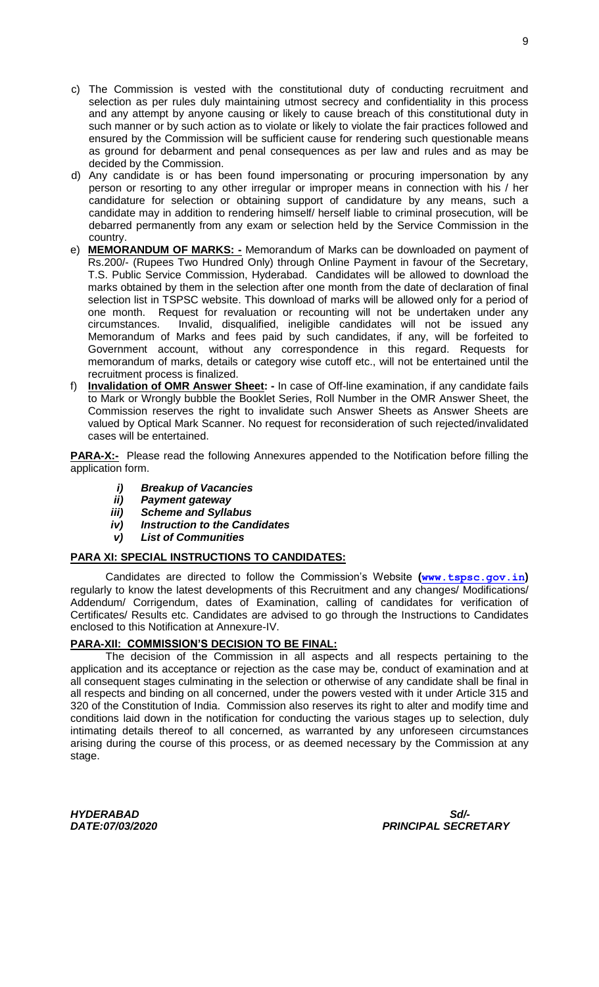- c) The Commission is vested with the constitutional duty of conducting recruitment and selection as per rules duly maintaining utmost secrecy and confidentiality in this process and any attempt by anyone causing or likely to cause breach of this constitutional duty in such manner or by such action as to violate or likely to violate the fair practices followed and ensured by the Commission will be sufficient cause for rendering such questionable means as ground for debarment and penal consequences as per law and rules and as may be decided by the Commission.
- d) Any candidate is or has been found impersonating or procuring impersonation by any person or resorting to any other irregular or improper means in connection with his / her candidature for selection or obtaining support of candidature by any means, such a candidate may in addition to rendering himself/ herself liable to criminal prosecution, will be debarred permanently from any exam or selection held by the Service Commission in the country.
- e) **MEMORANDUM OF MARKS: -** Memorandum of Marks can be downloaded on payment of Rs.200/- (Rupees Two Hundred Only) through Online Payment in favour of the Secretary, T.S. Public Service Commission, Hyderabad. Candidates will be allowed to download the marks obtained by them in the selection after one month from the date of declaration of final selection list in TSPSC website. This download of marks will be allowed only for a period of one month. Request for revaluation or recounting will not be undertaken under any circumstances. Invalid, disqualified, ineligible candidates will not be issued any Memorandum of Marks and fees paid by such candidates, if any, will be forfeited to Government account, without any correspondence in this regard. Requests for memorandum of marks, details or category wise cutoff etc., will not be entertained until the recruitment process is finalized.
- f) **Invalidation of OMR Answer Sheet: -** In case of Off-line examination, if any candidate fails to Mark or Wrongly bubble the Booklet Series, Roll Number in the OMR Answer Sheet, the Commission reserves the right to invalidate such Answer Sheets as Answer Sheets are valued by Optical Mark Scanner. No request for reconsideration of such rejected/invalidated cases will be entertained.

**PARA-X:-** Please read the following Annexures appended to the Notification before filling the application form.

- *i) Breakup of Vacancies*
- *ii) Payment gateway*
- *iii) Scheme and Syllabus*
- *iv) Instruction to the Candidates*
- *v) List of Communities*

#### **PARA XI: SPECIAL INSTRUCTIONS TO CANDIDATES:**

Candidates are directed to follow the Commission's Website **([www.tspsc.gov.in](http://www.tspsc.gov.in/))** regularly to know the latest developments of this Recruitment and any changes/ Modifications/ Addendum/ Corrigendum, dates of Examination, calling of candidates for verification of Certificates/ Results etc. Candidates are advised to go through the Instructions to Candidates enclosed to this Notification at Annexure-IV.

#### **PARA-XII: COMMISSION'S DECISION TO BE FINAL:**

The decision of the Commission in all aspects and all respects pertaining to the application and its acceptance or rejection as the case may be, conduct of examination and at all consequent stages culminating in the selection or otherwise of any candidate shall be final in all respects and binding on all concerned, under the powers vested with it under Article 315 and 320 of the Constitution of India. Commission also reserves its right to alter and modify time and conditions laid down in the notification for conducting the various stages up to selection, duly intimating details thereof to all concerned, as warranted by any unforeseen circumstances arising during the course of this process, or as deemed necessary by the Commission at any stage.

*HYDERABAD Sd/-*

*DATE:07/03/2020 PRINCIPAL SECRETARY*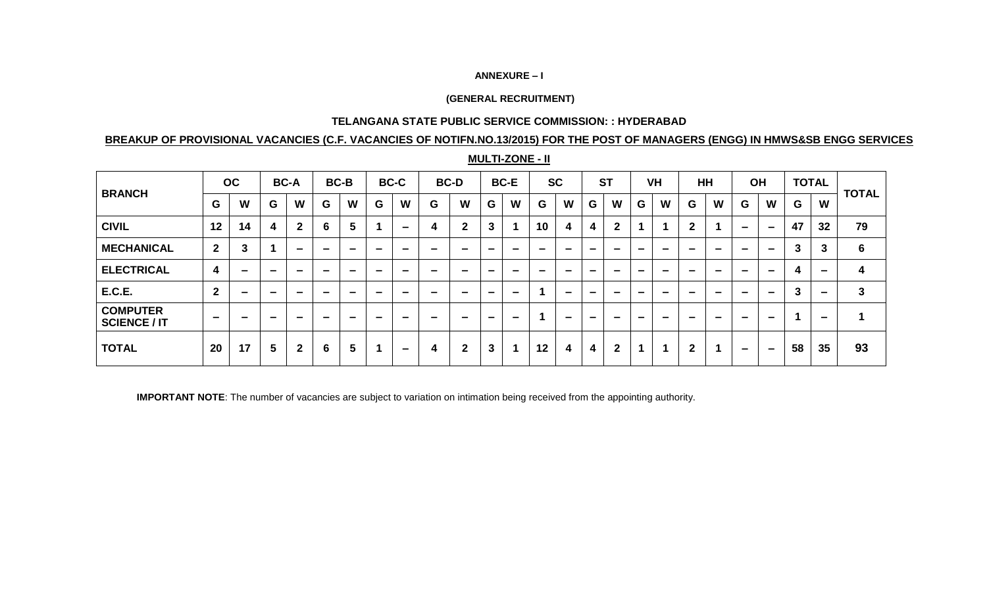#### **ANNEXURE – I**

#### **(GENERAL RECRUITMENT)**

#### **TELANGANA STATE PUBLIC SERVICE COMMISSION: : HYDERABAD**

# **BREAKUP OF PROVISIONAL VACANCIES (C.F. VACANCIES OF NOTIFN.NO.13/2015) FOR THE POST OF MANAGERS (ENGG) IN HMWS&SB ENGG SERVICES**

| <b>BRANCH</b>                          |                          | OC |        | <b>BC-A</b>    |        | <b>BC-B</b> |        | <b>BC-C</b>              | <b>BC-D</b> |              |          | <b>BC-E</b> |          | <b>SC</b> |          | <b>ST</b>    |          | <b>VH</b> |                          | <b>HH</b> |          | <b>OH</b>                |    | <b>TOTAL</b>             |                      |
|----------------------------------------|--------------------------|----|--------|----------------|--------|-------------|--------|--------------------------|-------------|--------------|----------|-------------|----------|-----------|----------|--------------|----------|-----------|--------------------------|-----------|----------|--------------------------|----|--------------------------|----------------------|
|                                        | G                        | W  | G      | W              | G      | W           | G      | W                        | G           | W            | G        | W           | G        | W         | G        | W            | G        | W         | G                        | W         | G        | W                        | G  | W                        | <b>TOTAL</b>         |
| <b>CIVIL</b>                           | 12                       | 14 | 4      | $\overline{2}$ | 6      | 5           |        | $\overline{\phantom{0}}$ | 4           | $\mathbf{2}$ | 3        |             | 10       | 4         | 4        | $\mathbf{2}$ |          |           | $\mathbf{2}$             |           | $\equiv$ | $\overline{\phantom{0}}$ | 47 | 32                       | 79                   |
| <b>MECHANICAL</b>                      | $\overline{2}$           | 3  |        | -              | -      | -           | -      | -                        | -           | -            | -        | $\sim$      | $\equiv$ | $\sim$    | -        | -            | $\equiv$ | -         | $\equiv$                 | $\equiv$  | $\equiv$ | $\equiv$                 | 3  | 3                        | 6                    |
| <b>ELECTRICAL</b>                      | $\overline{\mathbf{4}}$  | -  | -      |                |        | -           |        |                          | $\sim$      | -            | -        | -           | -        | -         | -        | -            | -        |           |                          |           |          |                          | 4  |                          | 4                    |
| <b>E.C.E.</b>                          | $\overline{2}$           | -  | -      | -              | _      | -           | -      | -                        | -           | -            | -        | $\equiv$    |          | $\equiv$  | -        | -            | -        |           | $\overline{\phantom{a}}$ | -         |          |                          | 3  | -                        | 3                    |
| <b>COMPUTER</b><br><b>SCIENCE / IT</b> | $\overline{\phantom{a}}$ | -  | $\sim$ | $\sim$         | $\sim$ | $\equiv$    | $\sim$ | -                        | -           | $\sim$       | $\equiv$ | $\,$        |          | $\,$      | $\equiv$ | $\sim$       | $\equiv$ | $\sim$    | $\equiv$                 | $\sim$    | $\sim$   | $\equiv$                 | 1  | $\overline{\phantom{0}}$ | $\blacktriangleleft$ |
| <b>TOTAL</b>                           | 20                       | 17 | 5      | $\mathbf{2}$   | 6      | 5           |        | $\overline{\phantom{0}}$ | 4           | $\mathbf{2}$ | 3        |             | 12       | 4         | 4        | $\mathbf 2$  | -4       |           | $\mathbf{2}$             |           | -        | $\overline{\phantom{0}}$ | 58 | 35                       | 93                   |

**MULTI-ZONE - II**

**IMPORTANT NOTE**: The number of vacancies are subject to variation on intimation being received from the appointing authority.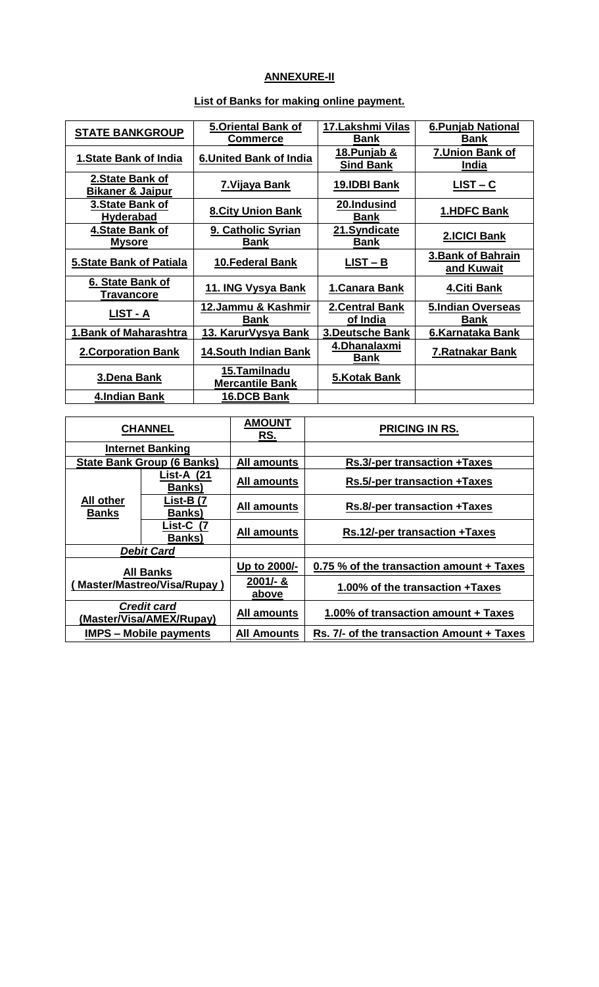# **ANNEXURE-II**

|                                 | <b>5.Oriental Bank of</b>      | 17. Lakshmi Vilas      | <b>6. Punjab National</b> |  |  |
|---------------------------------|--------------------------------|------------------------|---------------------------|--|--|
| <b>STATE BANKGROUP</b>          | <b>Commerce</b>                | <b>Bank</b>            | <b>Bank</b>               |  |  |
|                                 |                                | <u>18.Punjab &amp;</u> | 7. Union Bank of          |  |  |
| <b>1.State Bank of India</b>    | <b>6. United Bank of India</b> | <b>Sind Bank</b>       | India                     |  |  |
| 2. State Bank of                |                                |                        |                           |  |  |
| <b>Bikaner &amp; Jaipur</b>     | 7. Vijaya Bank                 | 19.IDBI Bank           | $LIST - C$                |  |  |
| 3. State Bank of                |                                | 20.Indusind            |                           |  |  |
| <b>Hyderabad</b>                | <b>8.City Union Bank</b>       | <b>Bank</b>            | 1.HDFC Bank               |  |  |
| 4. State Bank of                | 9. Catholic Syrian             | 21.Syndicate           | 2.ICICI Bank              |  |  |
| <b>Mysore</b>                   | <b>Bank</b>                    | <b>Bank</b>            |                           |  |  |
|                                 |                                |                        | <b>3.Bank of Bahrain</b>  |  |  |
| <b>5. State Bank of Patiala</b> | <b>10.Federal Bank</b>         | $LIST - B$             | and Kuwait                |  |  |
| 6. State Bank of                |                                |                        |                           |  |  |
| <b>Travancore</b>               | 11. ING Vysya Bank             | 1. Canara Bank         | 4.Citi Bank               |  |  |
|                                 | 12.Jammu & Kashmir             | <b>2.Central Bank</b>  | <b>5.Indian Overseas</b>  |  |  |
| LIST - A                        | Bank                           | of India               | <b>Bank</b>               |  |  |
| <b>1. Bank of Maharashtra</b>   | 13. KarurVysya Bank            | <b>3.Deutsche Bank</b> | 6.Karnataka Bank          |  |  |
|                                 |                                | 4.Dhanalaxmi           |                           |  |  |
| <b>2. Corporation Bank</b>      | <b>14.South Indian Bank</b>    | <b>Bank</b>            | 7. Ratnakar Bank          |  |  |
|                                 | <u>15.Tamilnadu</u>            |                        |                           |  |  |
| 3.Dena Bank                     | <b>Mercantile Bank</b>         | 5.Kotak Bank           |                           |  |  |
| 4.Indian Bank                   | 16.DCB Bank                    |                        |                           |  |  |

# **List of Banks for making online payment.**

|                                   | <b>CHANNEL</b>                                 | <b>AMOUNT</b><br>RS. | <b>PRICING IN RS.</b>                     |
|-----------------------------------|------------------------------------------------|----------------------|-------------------------------------------|
|                                   | <b>Internet Banking</b>                        |                      |                                           |
|                                   | <b>State Bank Group (6 Banks)</b>              | <b>All amounts</b>   | Rs.3/-per transaction +Taxes              |
|                                   | List-A (21<br><b>Banks</b> )                   |                      | <b>Rs.5/-per transaction +Taxes</b>       |
| <b>All other</b><br><b>Banks</b>  | List-B (7<br><b>Banks</b> )                    | <b>All amounts</b>   | <b>Rs.8/-per transaction +Taxes</b>       |
|                                   | List-C (7<br><b>Banks</b> )                    | <b>All amounts</b>   | <b>Rs.12/-per transaction +Taxes</b>      |
|                                   | <b>Debit Card</b>                              |                      |                                           |
|                                   | <b>All Banks</b>                               | Up to 2000/-         | 0.75 % of the transaction amount + Taxes  |
| <b>Master/Mastreo/Visa/Rupay)</b> |                                                | 2001/- &<br>above    | 1.00% of the transaction +Taxes           |
|                                   | <b>Credit card</b><br>(Master/Visa/AMEX/Rupay) | <b>All amounts</b>   | 1.00% of transaction amount + Taxes       |
|                                   | <b>IMPS – Mobile payments</b>                  | All Amounts          | Rs. 7/- of the transaction Amount + Taxes |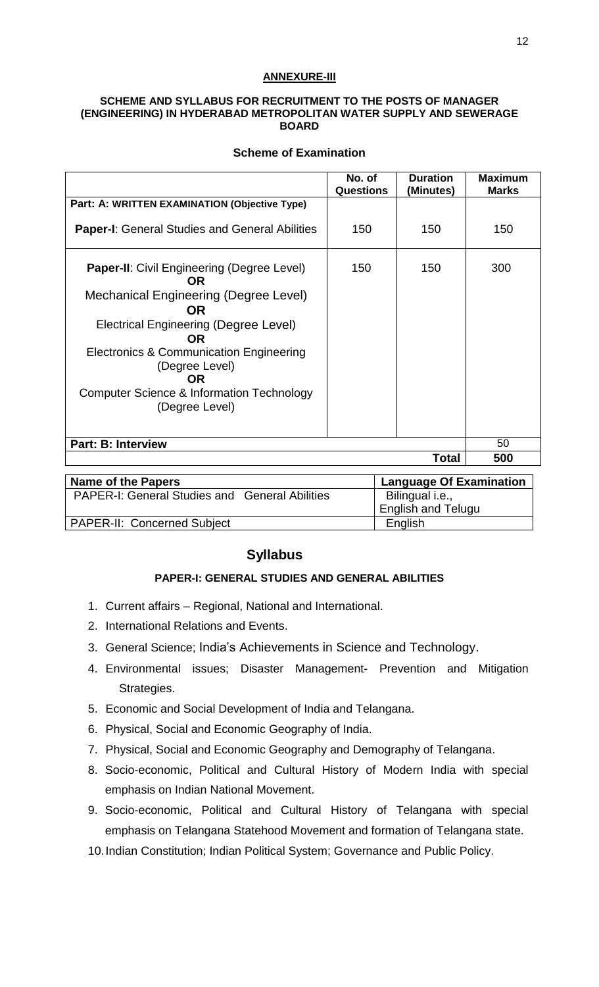# **ANNEXURE-III**

#### **SCHEME AND SYLLABUS FOR RECRUITMENT TO THE POSTS OF MANAGER (ENGINEERING) IN HYDERABAD METROPOLITAN WATER SUPPLY AND SEWERAGE BOARD**

# **Scheme of Examination**

|                                                                                                                                                                                                                                                                                                   | No. of<br><b>Questions</b> | <b>Duration</b><br>(Minutes) | <b>Maximum</b><br><b>Marks</b> |
|---------------------------------------------------------------------------------------------------------------------------------------------------------------------------------------------------------------------------------------------------------------------------------------------------|----------------------------|------------------------------|--------------------------------|
| Part: A: WRITTEN EXAMINATION (Objective Type)                                                                                                                                                                                                                                                     |                            |                              |                                |
| <b>Paper-I:</b> General Studies and General Abilities                                                                                                                                                                                                                                             | 150                        | 150                          | 150                            |
| <b>Paper-II:</b> Civil Engineering (Degree Level)<br>OR.<br>Mechanical Engineering (Degree Level)<br>OR.<br>Electrical Engineering (Degree Level)<br><b>OR</b><br>Electronics & Communication Engineering<br>(Degree Level)<br>OR.<br>Computer Science & Information Technology<br>(Degree Level) | 150                        | 150                          | 300                            |
| <b>Part: B: Interview</b>                                                                                                                                                                                                                                                                         | 50                         |                              |                                |
|                                                                                                                                                                                                                                                                                                   |                            | <b>Total</b>                 | 500                            |

| <b>Name of the Papers</b>                             | Language Of Examination   |
|-------------------------------------------------------|---------------------------|
| <b>PAPER-I: General Studies and General Abilities</b> | Bilingual i.e.,           |
|                                                       | <b>English and Telugu</b> |
| <b>PAPER-II: Concerned Subject</b>                    | English                   |

# **Syllabus**

# **PAPER-I: GENERAL STUDIES AND GENERAL ABILITIES**

- 1. Current affairs Regional, National and International.
- 2. International Relations and Events.
- 3. General Science; India's Achievements in Science and Technology.
- 4. Environmental issues; Disaster Management- Prevention and Mitigation Strategies.
- 5. Economic and Social Development of India and Telangana.
- 6. Physical, Social and Economic Geography of India.
- 7. Physical, Social and Economic Geography and Demography of Telangana.
- 8. Socio-economic, Political and Cultural History of Modern India with special emphasis on Indian National Movement.
- 9. Socio-economic, Political and Cultural History of Telangana with special emphasis on Telangana Statehood Movement and formation of Telangana state.
- 10.Indian Constitution; Indian Political System; Governance and Public Policy.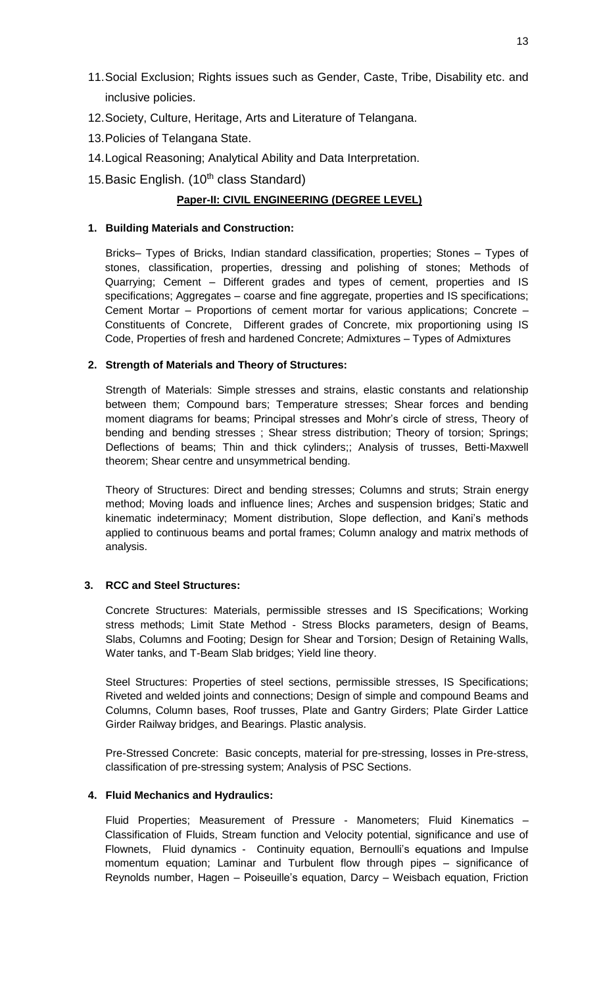- 11.Social Exclusion; Rights issues such as Gender, Caste, Tribe, Disability etc. and inclusive policies.
- 12.Society, Culture, Heritage, Arts and Literature of Telangana.
- 13.Policies of Telangana State.
- 14.Logical Reasoning; Analytical Ability and Data Interpretation.
- 15. Basic English. (10<sup>th</sup> class Standard)

# **Paper-II: CIVIL ENGINEERING (DEGREE LEVEL)**

# **1. Building Materials and Construction:**

Bricks– Types of Bricks, Indian standard classification, properties; Stones – Types of stones, classification, properties, dressing and polishing of stones; Methods of Quarrying; Cement – Different grades and types of cement, properties and IS specifications; Aggregates – coarse and fine aggregate, properties and IS specifications; Cement Mortar – Proportions of cement mortar for various applications; Concrete – Constituents of Concrete, Different grades of Concrete, mix proportioning using IS Code, Properties of fresh and hardened Concrete; Admixtures – Types of Admixtures

# **2. Strength of Materials and Theory of Structures:**

Strength of Materials: Simple stresses and strains, elastic constants and relationship between them; Compound bars; Temperature stresses; Shear forces and bending moment diagrams for beams; Principal stresses and Mohr's circle of stress, Theory of bending and bending stresses ; Shear stress distribution; Theory of torsion; Springs; Deflections of beams; Thin and thick cylinders;; Analysis of trusses, Betti-Maxwell theorem; Shear centre and unsymmetrical bending.

Theory of Structures: Direct and bending stresses; Columns and struts; Strain energy method; Moving loads and influence lines; Arches and suspension bridges; Static and kinematic indeterminacy; Moment distribution, Slope deflection, and Kani's methods applied to continuous beams and portal frames; Column analogy and matrix methods of analysis.

# **3. RCC and Steel Structures:**

Concrete Structures: Materials, permissible stresses and IS Specifications; Working stress methods; Limit State Method - Stress Blocks parameters, design of Beams, Slabs, Columns and Footing; Design for Shear and Torsion; Design of Retaining Walls, Water tanks, and T-Beam Slab bridges; Yield line theory.

Steel Structures: Properties of steel sections, permissible stresses, IS Specifications; Riveted and welded joints and connections; Design of simple and compound Beams and Columns, Column bases, Roof trusses, Plate and Gantry Girders; Plate Girder Lattice Girder Railway bridges, and Bearings. Plastic analysis.

Pre-Stressed Concrete: Basic concepts, material for pre-stressing, losses in Pre-stress, classification of pre-stressing system; Analysis of PSC Sections.

# **4. Fluid Mechanics and Hydraulics:**

Fluid Properties; Measurement of Pressure - Manometers; Fluid Kinematics -Classification of Fluids, Stream function and Velocity potential, significance and use of Flownets, Fluid dynamics - Continuity equation, Bernoulli's equations and Impulse momentum equation; Laminar and Turbulent flow through pipes – significance of Reynolds number, Hagen – Poiseuille's equation, Darcy – Weisbach equation, Friction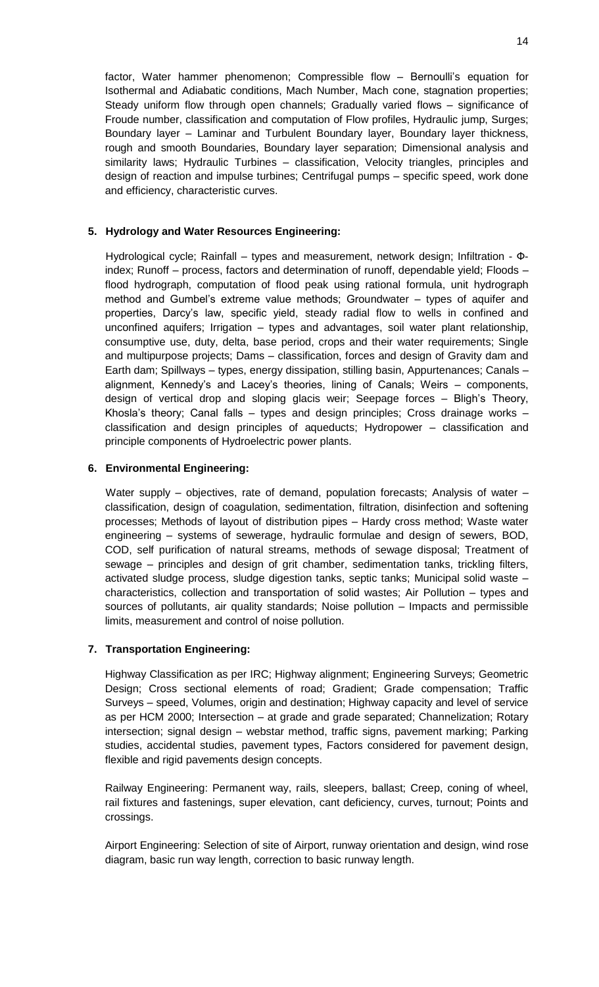factor, Water hammer phenomenon; Compressible flow – Bernoulli's equation for Isothermal and Adiabatic conditions, Mach Number, Mach cone, stagnation properties; Steady uniform flow through open channels; Gradually varied flows – significance of Froude number, classification and computation of Flow profiles, Hydraulic jump, Surges; Boundary layer – Laminar and Turbulent Boundary layer, Boundary layer thickness, rough and smooth Boundaries, Boundary layer separation; Dimensional analysis and similarity laws; Hydraulic Turbines – classification, Velocity triangles, principles and design of reaction and impulse turbines; Centrifugal pumps – specific speed, work done and efficiency, characteristic curves.

# **5. Hydrology and Water Resources Engineering:**

Hydrological cycle; Rainfall – types and measurement, network design; Infiltration - Фindex; Runoff – process, factors and determination of runoff, dependable yield; Floods – flood hydrograph, computation of flood peak using rational formula, unit hydrograph method and Gumbel's extreme value methods; Groundwater – types of aquifer and properties, Darcy's law, specific yield, steady radial flow to wells in confined and unconfined aquifers; Irrigation – types and advantages, soil water plant relationship, consumptive use, duty, delta, base period, crops and their water requirements; Single and multipurpose projects; Dams – classification, forces and design of Gravity dam and Earth dam; Spillways – types, energy dissipation, stilling basin, Appurtenances; Canals – alignment, Kennedy's and Lacey's theories, lining of Canals; Weirs – components, design of vertical drop and sloping glacis weir; Seepage forces – Bligh's Theory, Khosla's theory; Canal falls – types and design principles; Cross drainage works – classification and design principles of aqueducts; Hydropower – classification and principle components of Hydroelectric power plants.

# **6. Environmental Engineering:**

Water supply – objectives, rate of demand, population forecasts; Analysis of water  $$ classification, design of coagulation, sedimentation, filtration, disinfection and softening processes; Methods of layout of distribution pipes – Hardy cross method; Waste water engineering – systems of sewerage, hydraulic formulae and design of sewers, BOD, COD, self purification of natural streams, methods of sewage disposal; Treatment of sewage – principles and design of grit chamber, sedimentation tanks, trickling filters, activated sludge process, sludge digestion tanks, septic tanks; Municipal solid waste – characteristics, collection and transportation of solid wastes; Air Pollution – types and sources of pollutants, air quality standards; Noise pollution – Impacts and permissible limits, measurement and control of noise pollution.

# **7. Transportation Engineering:**

Highway Classification as per IRC; Highway alignment; Engineering Surveys; Geometric Design; Cross sectional elements of road; Gradient; Grade compensation; Traffic Surveys – speed, Volumes, origin and destination; Highway capacity and level of service as per HCM 2000; Intersection – at grade and grade separated; Channelization; Rotary intersection; signal design – webstar method, traffic signs, pavement marking; Parking studies, accidental studies, pavement types, Factors considered for pavement design, flexible and rigid pavements design concepts.

Railway Engineering: Permanent way, rails, sleepers, ballast; Creep, coning of wheel, rail fixtures and fastenings, super elevation, cant deficiency, curves, turnout; Points and crossings.

Airport Engineering: Selection of site of Airport, runway orientation and design, wind rose diagram, basic run way length, correction to basic runway length.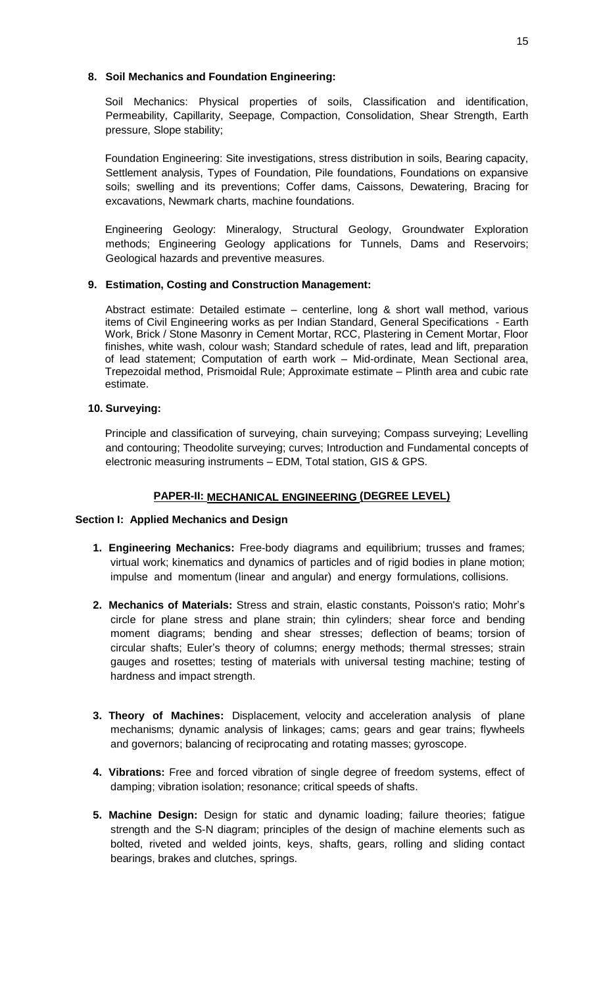#### **8. Soil Mechanics and Foundation Engineering:**

Soil Mechanics: Physical properties of soils, Classification and identification, Permeability, Capillarity, Seepage, Compaction, Consolidation, Shear Strength, Earth pressure, Slope stability;

Foundation Engineering: Site investigations, stress distribution in soils, Bearing capacity, Settlement analysis, Types of Foundation, Pile foundations, Foundations on expansive soils; swelling and its preventions; Coffer dams, Caissons, Dewatering, Bracing for excavations, Newmark charts, machine foundations.

Engineering Geology: Mineralogy, Structural Geology, Groundwater Exploration methods; Engineering Geology applications for Tunnels, Dams and Reservoirs; Geological hazards and preventive measures.

# **9. Estimation, Costing and Construction Management:**

Abstract estimate: Detailed estimate – centerline, long & short wall method, various items of Civil Engineering works as per Indian Standard, General Specifications - Earth Work, Brick / Stone Masonry in Cement Mortar, RCC, Plastering in Cement Mortar, Floor finishes, white wash, colour wash; Standard schedule of rates, lead and lift, preparation of lead statement; Computation of earth work – Mid-ordinate, Mean Sectional area, Trepezoidal method, Prismoidal Rule; Approximate estimate – Plinth area and cubic rate estimate.

# **10. Surveying:**

Principle and classification of surveying, chain surveying; Compass surveying; Levelling and contouring; Theodolite surveying; curves; Introduction and Fundamental concepts of electronic measuring instruments – EDM, Total station, GIS & GPS.

# **PAPER-II: MECHANICAL ENGINEERING (DEGREE LEVEL)**

# **Section I: Applied Mechanics and Design**

- **1. Engineering Mechanics:** Free-body diagrams and equilibrium; trusses and frames; virtual work; kinematics and dynamics of particles and of rigid bodies in plane motion; impulse and momentum (linear and angular) and energy formulations, collisions.
- **2. Mechanics of Materials:** Stress and strain, elastic constants, Poisson's ratio; Mohr's circle for plane stress and plane strain; thin cylinders; shear force and bending moment diagrams; bending and shear stresses; deflection of beams; torsion of circular shafts; Euler's theory of columns; energy methods; thermal stresses; strain gauges and rosettes; testing of materials with universal testing machine; testing of hardness and impact strength.
- **3. Theory of Machines:** Displacement, velocity and acceleration analysis of plane mechanisms; dynamic analysis of linkages; cams; gears and gear trains; flywheels and governors; balancing of reciprocating and rotating masses; gyroscope.
- **4. Vibrations:** Free and forced vibration of single degree of freedom systems, effect of damping; vibration isolation; resonance; critical speeds of shafts.
- **5. Machine Design:** Design for static and dynamic loading; failure theories; fatigue strength and the S-N diagram; principles of the design of machine elements such as bolted, riveted and welded joints, keys, shafts, gears, rolling and sliding contact bearings, brakes and clutches, springs.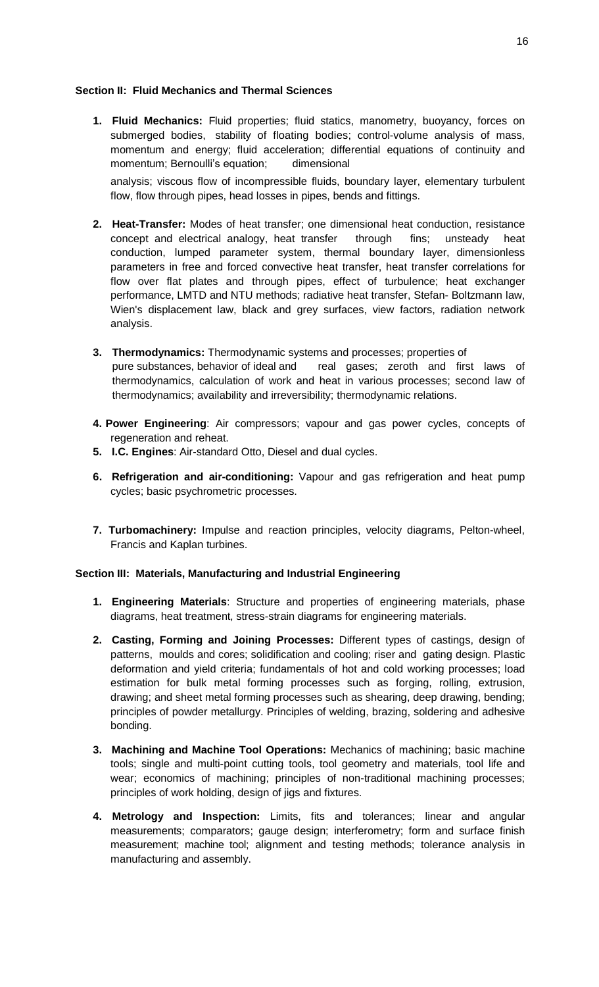### **Section II: Fluid Mechanics and Thermal Sciences**

**1. Fluid Mechanics:** Fluid properties; fluid statics, manometry, buoyancy, forces on submerged bodies, stability of floating bodies; control-volume analysis of mass, momentum and energy; fluid acceleration; differential equations of continuity and momentum; Bernoulli's equation; dimensional

analysis; viscous flow of incompressible fluids, boundary layer, elementary turbulent flow, flow through pipes, head losses in pipes, bends and fittings.

- **2. Heat-Transfer:** Modes of heat transfer; one dimensional heat conduction, resistance concept and electrical analogy, heat transfer through fins; unsteady heat conduction, lumped parameter system, thermal boundary layer, dimensionless parameters in free and forced convective heat transfer, heat transfer correlations for flow over flat plates and through pipes, effect of turbulence; heat exchanger performance, LMTD and NTU methods; radiative heat transfer, Stefan- Boltzmann law, Wien's displacement law, black and grey surfaces, view factors, radiation network analysis.
- **3. Thermodynamics:** Thermodynamic systems and processes; properties of pure substances, behavior of ideal and real gases; zeroth and first laws of thermodynamics, calculation of work and heat in various processes; second law of thermodynamics; availability and irreversibility; thermodynamic relations.
- **4. Power Engineering**: Air compressors; vapour and gas power cycles, concepts of regeneration and reheat.
- **5. I.C. Engines**: Air-standard Otto, Diesel and dual cycles.
- **6. Refrigeration and air-conditioning:** Vapour and gas refrigeration and heat pump cycles; basic psychrometric processes.
- **7. Turbomachinery:** Impulse and reaction principles, velocity diagrams, Pelton-wheel, Francis and Kaplan turbines.

#### **Section III: Materials, Manufacturing and Industrial Engineering**

- **1. Engineering Materials**: Structure and properties of engineering materials, phase diagrams, heat treatment, stress-strain diagrams for engineering materials.
- **2. Casting, Forming and Joining Processes:** Different types of castings, design of patterns, moulds and cores; solidification and cooling; riser and gating design. Plastic deformation and yield criteria; fundamentals of hot and cold working processes; load estimation for bulk metal forming processes such as forging, rolling, extrusion, drawing; and sheet metal forming processes such as shearing, deep drawing, bending; principles of powder metallurgy. Principles of welding, brazing, soldering and adhesive bonding.
- **3. Machining and Machine Tool Operations:** Mechanics of machining; basic machine tools; single and multi-point cutting tools, tool geometry and materials, tool life and wear; economics of machining; principles of non-traditional machining processes; principles of work holding, design of jigs and fixtures.
- **4. Metrology and Inspection:** Limits, fits and tolerances; linear and angular measurements; comparators; gauge design; interferometry; form and surface finish measurement; machine tool; alignment and testing methods; tolerance analysis in manufacturing and assembly.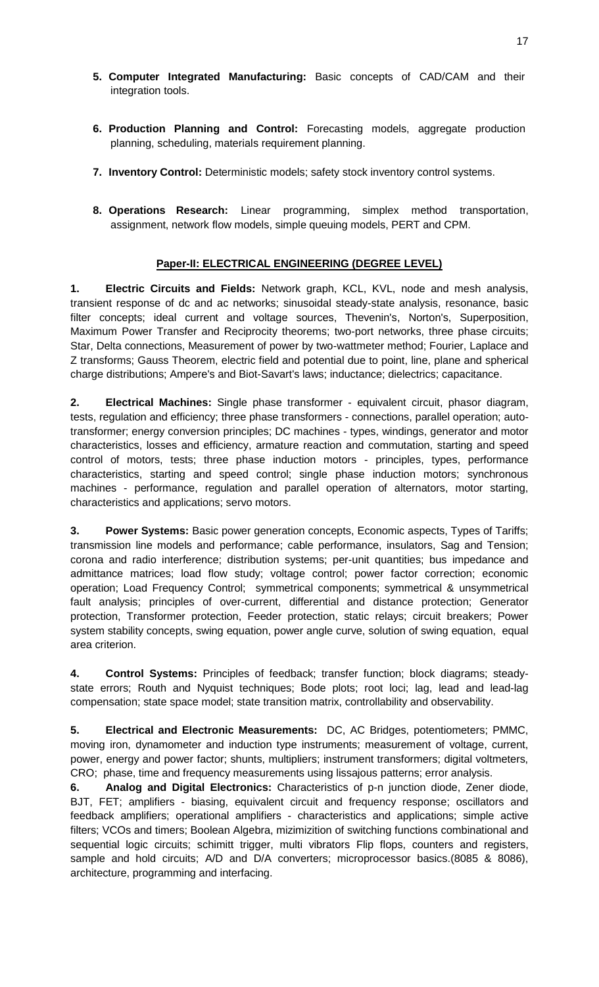- **5. Computer Integrated Manufacturing:** Basic concepts of CAD/CAM and their integration tools.
- **6. Production Planning and Control:** Forecasting models, aggregate production planning, scheduling, materials requirement planning.
- **7. Inventory Control:** Deterministic models; safety stock inventory control systems.
- **8. Operations Research:** Linear programming, simplex method transportation, assignment, network flow models, simple queuing models, PERT and CPM.

# **Paper-II: ELECTRICAL ENGINEERING (DEGREE LEVEL)**

**1. Electric Circuits and Fields:** Network graph, KCL, KVL, node and mesh analysis, transient response of dc and ac networks; sinusoidal steady-state analysis, resonance, basic filter concepts; ideal current and voltage sources, Thevenin's, Norton's, Superposition, Maximum Power Transfer and Reciprocity theorems; two-port networks, three phase circuits; Star, Delta connections, Measurement of power by two-wattmeter method; Fourier, Laplace and Z transforms; Gauss Theorem, electric field and potential due to point, line, plane and spherical charge distributions; Ampere's and Biot-Savart's laws; inductance; dielectrics; capacitance.

**2. Electrical Machines:** Single phase transformer - equivalent circuit, phasor diagram, tests, regulation and efficiency; three phase transformers - connections, parallel operation; autotransformer; energy conversion principles; DC machines - types, windings, generator and motor characteristics, losses and efficiency, armature reaction and commutation, starting and speed control of motors, tests; three phase induction motors - principles, types, performance characteristics, starting and speed control; single phase induction motors; synchronous machines - performance, regulation and parallel operation of alternators, motor starting, characteristics and applications; servo motors.

**3. Power Systems:** Basic power generation concepts, Economic aspects, Types of Tariffs; transmission line models and performance; cable performance, insulators, Sag and Tension; corona and radio interference; distribution systems; per-unit quantities; bus impedance and admittance matrices; load flow study; voltage control; power factor correction; economic operation; Load Frequency Control; symmetrical components; symmetrical & unsymmetrical fault analysis; principles of over-current, differential and distance protection; Generator protection, Transformer protection, Feeder protection, static relays; circuit breakers; Power system stability concepts, swing equation, power angle curve, solution of swing equation, equal area criterion.

**4. Control Systems:** Principles of feedback; transfer function; block diagrams; steadystate errors; Routh and Nyquist techniques; Bode plots; root loci; lag, lead and lead-lag compensation; state space model; state transition matrix, controllability and observability.

**5. Electrical and Electronic Measurements:** DC, AC Bridges, potentiometers; PMMC, moving iron, dynamometer and induction type instruments; measurement of voltage, current, power, energy and power factor; shunts, multipliers; instrument transformers; digital voltmeters, CRO; phase, time and frequency measurements using lissajous patterns; error analysis.

**6. Analog and Digital Electronics:** Characteristics of p-n junction diode, Zener diode, BJT, FET; amplifiers - biasing, equivalent circuit and frequency response; oscillators and feedback amplifiers; operational amplifiers - characteristics and applications; simple active filters; VCOs and timers; Boolean Algebra, mizimizition of switching functions combinational and sequential logic circuits; schimitt trigger, multi vibrators Flip flops, counters and registers, sample and hold circuits; A/D and D/A converters; microprocessor basics.(8085 & 8086), architecture, programming and interfacing.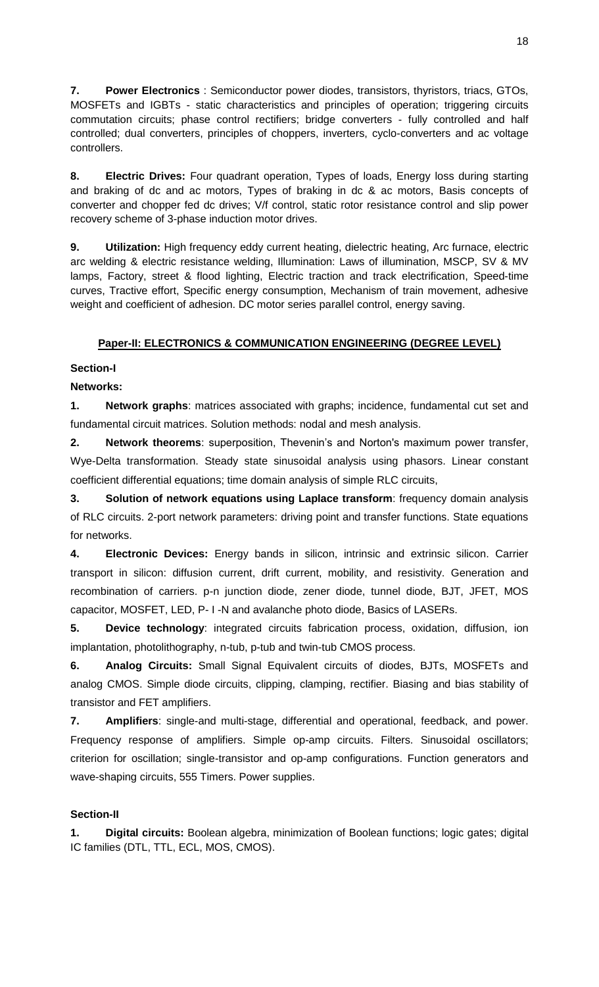**7. Power Electronics** : Semiconductor power diodes, transistors, thyristors, triacs, GTOs, MOSFETs and IGBTs - static characteristics and principles of operation; triggering circuits commutation circuits; phase control rectifiers; bridge converters - fully controlled and half controlled; dual converters, principles of choppers, inverters, cyclo-converters and ac voltage controllers.

**8. Electric Drives:** Four quadrant operation, Types of loads, Energy loss during starting and braking of dc and ac motors, Types of braking in dc & ac motors, Basis concepts of converter and chopper fed dc drives; V/f control, static rotor resistance control and slip power recovery scheme of 3-phase induction motor drives.

**9. Utilization:** High frequency eddy current heating, dielectric heating, Arc furnace, electric arc welding & electric resistance welding, Illumination: Laws of illumination, MSCP, SV & MV lamps, Factory, street & flood lighting, Electric traction and track electrification, Speed-time curves, Tractive effort, Specific energy consumption, Mechanism of train movement, adhesive weight and coefficient of adhesion. DC motor series parallel control, energy saving.

# **Paper-II: ELECTRONICS & COMMUNICATION ENGINEERING (DEGREE LEVEL)**

**Section-I** 

**Networks:** 

**1. Network graphs**: matrices associated with graphs; incidence, fundamental cut set and fundamental circuit matrices. Solution methods: nodal and mesh analysis.

**2. Network theorems**: superposition, Thevenin's and Norton's maximum power transfer, Wye-Delta transformation. Steady state sinusoidal analysis using phasors. Linear constant coefficient differential equations; time domain analysis of simple RLC circuits,

**3. Solution of network equations using Laplace transform**: frequency domain analysis of RLC circuits. 2-port network parameters: driving point and transfer functions. State equations for networks.

**4. Electronic Devices:** Energy bands in silicon, intrinsic and extrinsic silicon. Carrier transport in silicon: diffusion current, drift current, mobility, and resistivity. Generation and recombination of carriers. p-n junction diode, zener diode, tunnel diode, BJT, JFET, MOS capacitor, MOSFET, LED, P- I -N and avalanche photo diode, Basics of LASERs.

**5. Device technology**: integrated circuits fabrication process, oxidation, diffusion, ion implantation, photolithography, n-tub, p-tub and twin-tub CMOS process.

**6. Analog Circuits:** Small Signal Equivalent circuits of diodes, BJTs, MOSFETs and analog CMOS. Simple diode circuits, clipping, clamping, rectifier. Biasing and bias stability of transistor and FET amplifiers.

**7. Amplifiers**: single-and multi-stage, differential and operational, feedback, and power. Frequency response of amplifiers. Simple op-amp circuits. Filters. Sinusoidal oscillators; criterion for oscillation; single-transistor and op-amp configurations. Function generators and wave-shaping circuits, 555 Timers. Power supplies.

# **Section-II**

**1. Digital circuits:** Boolean algebra, minimization of Boolean functions; logic gates; digital IC families (DTL, TTL, ECL, MOS, CMOS).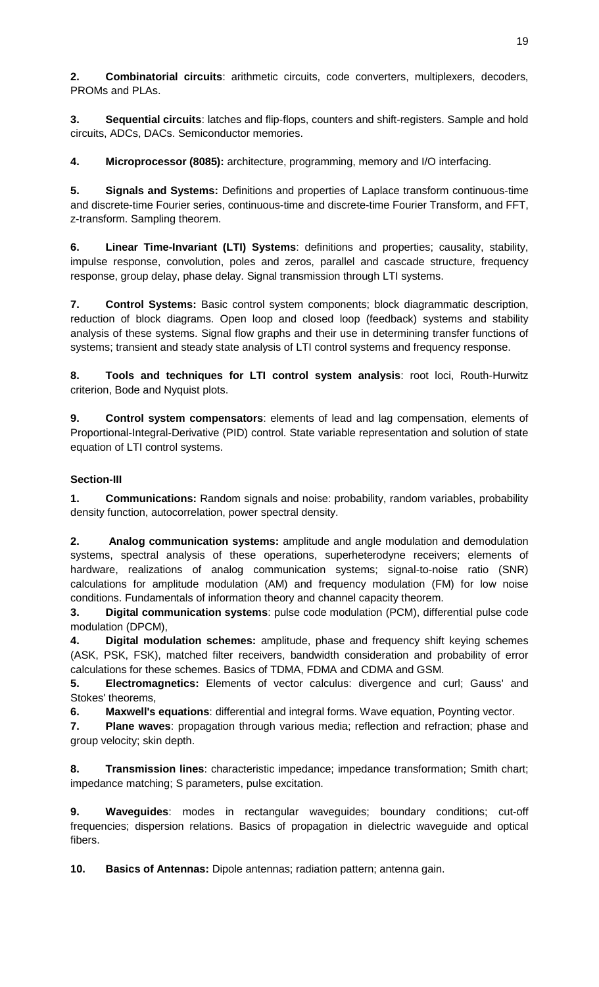**2. Combinatorial circuits**: arithmetic circuits, code converters, multiplexers, decoders, PROMs and PLAs.

**3. Sequential circuits**: latches and flip-flops, counters and shift-registers. Sample and hold circuits, ADCs, DACs. Semiconductor memories.

**4. Microprocessor (8085):** architecture, programming, memory and I/O interfacing.

**5. Signals and Systems:** Definitions and properties of Laplace transform continuous-time and discrete-time Fourier series, continuous-time and discrete-time Fourier Transform, and FFT, z-transform. Sampling theorem.

**6. Linear Time-Invariant (LTI) Systems**: definitions and properties; causality, stability, impulse response, convolution, poles and zeros, parallel and cascade structure, frequency response, group delay, phase delay. Signal transmission through LTI systems.

**7. Control Systems:** Basic control system components; block diagrammatic description, reduction of block diagrams. Open loop and closed loop (feedback) systems and stability analysis of these systems. Signal flow graphs and their use in determining transfer functions of systems; transient and steady state analysis of LTI control systems and frequency response.

**8. Tools and techniques for LTI control system analysis**: root loci, Routh-Hurwitz criterion, Bode and Nyquist plots.

**9. Control system compensators**: elements of lead and lag compensation, elements of Proportional-Integral-Derivative (PID) control. State variable representation and solution of state equation of LTI control systems.

# **Section-III**

**1. Communications:** Random signals and noise: probability, random variables, probability density function, autocorrelation, power spectral density.

**2. Analog communication systems:** amplitude and angle modulation and demodulation systems, spectral analysis of these operations, superheterodyne receivers; elements of hardware, realizations of analog communication systems; signal-to-noise ratio (SNR) calculations for amplitude modulation (AM) and frequency modulation (FM) for low noise conditions. Fundamentals of information theory and channel capacity theorem.

**3. Digital communication systems**: pulse code modulation (PCM), differential pulse code modulation (DPCM),

**4. Digital modulation schemes:** amplitude, phase and frequency shift keying schemes (ASK, PSK, FSK), matched filter receivers, bandwidth consideration and probability of error calculations for these schemes. Basics of TDMA, FDMA and CDMA and GSM.

**5. Electromagnetics:** Elements of vector calculus: divergence and curl; Gauss' and Stokes' theorems,

**6. Maxwell's equations**: differential and integral forms. Wave equation, Poynting vector.

**7. Plane waves**: propagation through various media; reflection and refraction; phase and group velocity; skin depth.

**8. Transmission lines**: characteristic impedance; impedance transformation; Smith chart; impedance matching; S parameters, pulse excitation.

**9. Waveguides**: modes in rectangular waveguides; boundary conditions; cut-off frequencies; dispersion relations. Basics of propagation in dielectric waveguide and optical fibers.

**10. Basics of Antennas:** Dipole antennas; radiation pattern; antenna gain.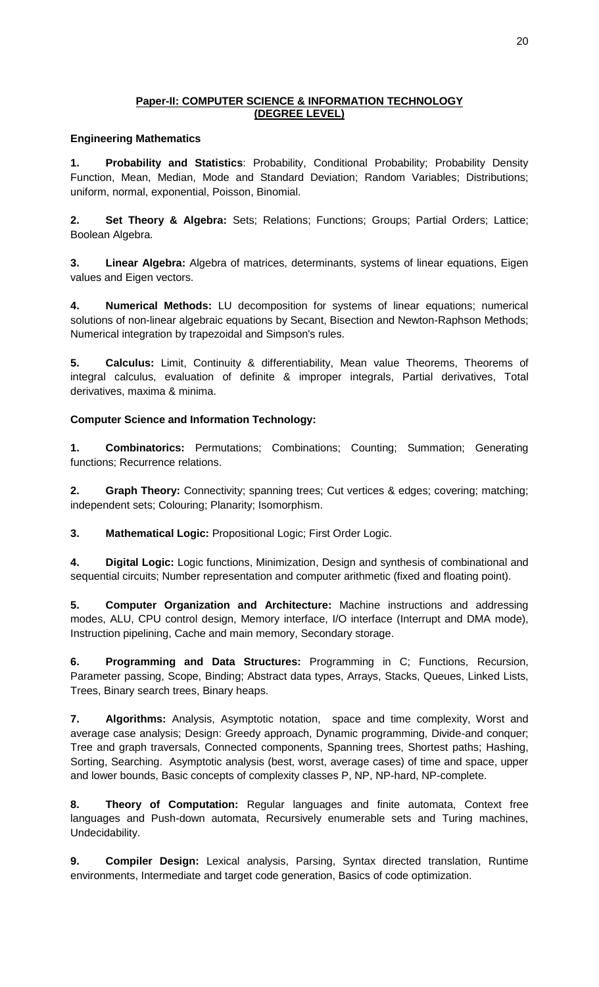# **Paper-II: COMPUTER SCIENCE & INFORMATION TECHNOLOGY (DEGREE LEVEL)**

# **Engineering Mathematics**

**1. Probability and Statistics**: Probability, Conditional Probability; Probability Density Function, Mean, Median, Mode and Standard Deviation; Random Variables; Distributions; uniform, normal, exponential, Poisson, Binomial.

**2. Set Theory & Algebra:** Sets; Relations; Functions; Groups; Partial Orders; Lattice; Boolean Algebra.

**3. Linear Algebra:** Algebra of matrices, determinants, systems of linear equations, Eigen values and Eigen vectors.

**4. Numerical Methods:** LU decomposition for systems of linear equations; numerical solutions of non-linear algebraic equations by Secant, Bisection and Newton-Raphson Methods; Numerical integration by trapezoidal and Simpson's rules.

**5. Calculus:** Limit, Continuity & differentiability, Mean value Theorems, Theorems of integral calculus, evaluation of definite & improper integrals, Partial derivatives, Total derivatives, maxima & minima.

# **Computer Science and Information Technology:**

**1. Combinatorics:** Permutations; Combinations; Counting; Summation; Generating functions; Recurrence relations.

**2. Graph Theory:** Connectivity; spanning trees; Cut vertices & edges; covering; matching; independent sets; Colouring; Planarity; Isomorphism.

**3. Mathematical Logic:** Propositional Logic; First Order Logic.

**4. Digital Logic:** Logic functions, Minimization, Design and synthesis of combinational and sequential circuits; Number representation and computer arithmetic (fixed and floating point).

**5. Computer Organization and Architecture:** Machine instructions and addressing modes, ALU, CPU control design, Memory interface, I/O interface (Interrupt and DMA mode), Instruction pipelining, Cache and main memory, Secondary storage.

**6. Programming and Data Structures:** Programming in C; Functions, Recursion, Parameter passing, Scope, Binding; Abstract data types, Arrays, Stacks, Queues, Linked Lists, Trees, Binary search trees, Binary heaps.

**7. Algorithms:** Analysis, Asymptotic notation, space and time complexity, Worst and average case analysis; Design: Greedy approach, Dynamic programming, Divide-and conquer; Tree and graph traversals, Connected components, Spanning trees, Shortest paths; Hashing, Sorting, Searching. Asymptotic analysis (best, worst, average cases) of time and space, upper and lower bounds, Basic concepts of complexity classes P, NP, NP-hard, NP-complete.

**8. Theory of Computation:** Regular languages and finite automata, Context free languages and Push-down automata, Recursively enumerable sets and Turing machines, Undecidability.

**9. Compiler Design:** Lexical analysis, Parsing, Syntax directed translation, Runtime environments, Intermediate and target code generation, Basics of code optimization.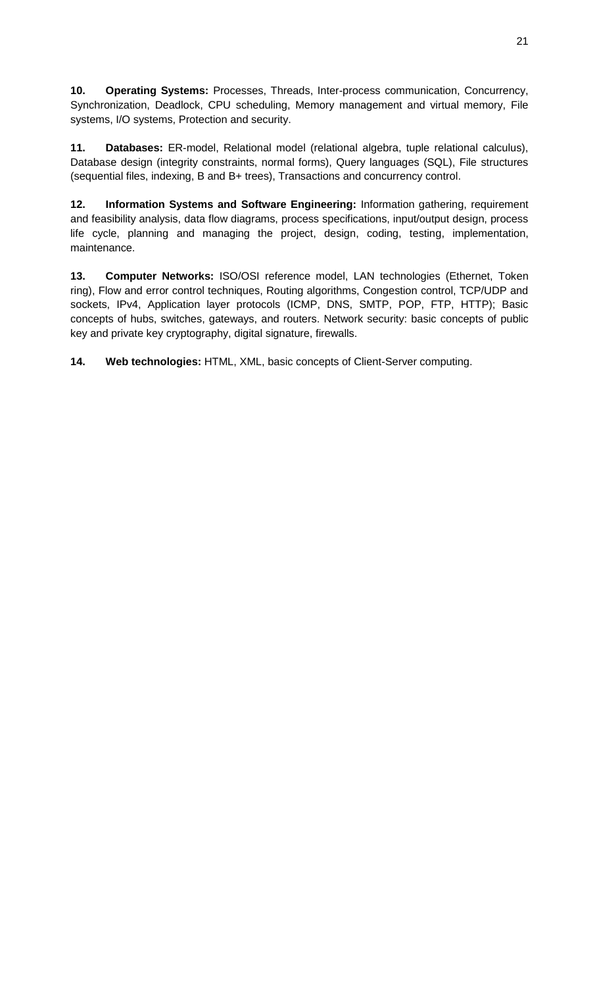**10. Operating Systems:** Processes, Threads, Inter-process communication, Concurrency, Synchronization, Deadlock, CPU scheduling, Memory management and virtual memory, File systems, I/O systems, Protection and security.

**11. Databases:** ER-model, Relational model (relational algebra, tuple relational calculus), Database design (integrity constraints, normal forms), Query languages (SQL), File structures (sequential files, indexing, B and B+ trees), Transactions and concurrency control.

**12. Information Systems and Software Engineering:** Information gathering, requirement and feasibility analysis, data flow diagrams, process specifications, input/output design, process life cycle, planning and managing the project, design, coding, testing, implementation, maintenance.

**13. Computer Networks:** ISO/OSI reference model, LAN technologies (Ethernet, Token ring), Flow and error control techniques, Routing algorithms, Congestion control, TCP/UDP and sockets, IPv4, Application layer protocols (ICMP, DNS, SMTP, POP, FTP, HTTP); Basic concepts of hubs, switches, gateways, and routers. Network security: basic concepts of public key and private key cryptography, digital signature, firewalls.

**14. Web technologies:** HTML, XML, basic concepts of Client-Server computing.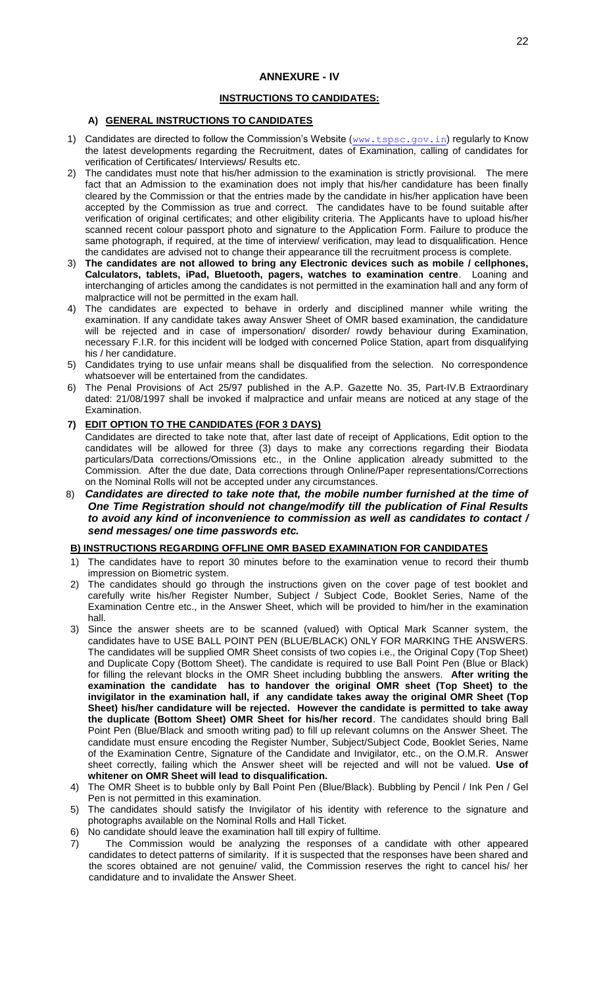#### **INSTRUCTIONS TO CANDIDATES:**

#### **A) GENERAL INSTRUCTIONS TO CANDIDATES**

- 1) Candidates are directed to follow the Commission's Website ([www.tspsc.gov.in](http://www.tspsc.gov.in/)) regularly to Know the latest developments regarding the Recruitment, dates of Examination, calling of candidates for verification of Certificates/ Interviews/ Results etc.
- 2) The candidates must note that his/her admission to the examination is strictly provisional. The mere fact that an Admission to the examination does not imply that his/her candidature has been finally cleared by the Commission or that the entries made by the candidate in his/her application have been accepted by the Commission as true and correct. The candidates have to be found suitable after verification of original certificates; and other eligibility criteria. The Applicants have to upload his/her scanned recent colour passport photo and signature to the Application Form. Failure to produce the same photograph, if required, at the time of interview/ verification, may lead to disqualification. Hence the candidates are advised not to change their appearance till the recruitment process is complete.
- 3) **The candidates are not allowed to bring any Electronic devices such as mobile / cellphones, Calculators, tablets, iPad, Bluetooth, pagers, watches to examination centre**. Loaning and interchanging of articles among the candidates is not permitted in the examination hall and any form of malpractice will not be permitted in the exam hall.
- 4) The candidates are expected to behave in orderly and disciplined manner while writing the examination. If any candidate takes away Answer Sheet of OMR based examination, the candidature will be rejected and in case of impersonation/ disorder/ rowdy behaviour during Examination, necessary F.I.R. for this incident will be lodged with concerned Police Station, apart from disqualifying his / her candidature.
- 5) Candidates trying to use unfair means shall be disqualified from the selection. No correspondence whatsoever will be entertained from the candidates.
- 6) The Penal Provisions of Act 25/97 published in the A.P. Gazette No. 35, Part-IV.B Extraordinary dated: 21/08/1997 shall be invoked if malpractice and unfair means are noticed at any stage of the Examination.

#### **7) EDIT OPTION TO THE CANDIDATES (FOR 3 DAYS)**

Candidates are directed to take note that, after last date of receipt of Applications, Edit option to the candidates will be allowed for three (3) days to make any corrections regarding their Biodata particulars/Data corrections/Omissions etc., in the Online application already submitted to the Commission. After the due date, Data corrections through Online/Paper representations/Corrections on the Nominal Rolls will not be accepted under any circumstances.

8) *Candidates are directed to take note that, the mobile number furnished at the time of One Time Registration should not change/modify till the publication of Final Results to avoid any kind of inconvenience to commission as well as candidates to contact / send messages/ one time passwords etc.*

#### **B) INSTRUCTIONS REGARDING OFFLINE OMR BASED EXAMINATION FOR CANDIDATES**

- The candidates have to report 30 minutes before to the examination venue to record their thumb impression on Biometric system.
- 2) The candidates should go through the instructions given on the cover page of test booklet and carefully write his/her Register Number, Subject / Subject Code, Booklet Series, Name of the Examination Centre etc., in the Answer Sheet, which will be provided to him/her in the examination hall.
- 3) Since the answer sheets are to be scanned (valued) with Optical Mark Scanner system, the candidates have to USE BALL POINT PEN (BLUE/BLACK) ONLY FOR MARKING THE ANSWERS. The candidates will be supplied OMR Sheet consists of two copies i.e., the Original Copy (Top Sheet) and Duplicate Copy (Bottom Sheet). The candidate is required to use Ball Point Pen (Blue or Black) for filling the relevant blocks in the OMR Sheet including bubbling the answers. **After writing the examination the candidate has to handover the original OMR sheet (Top Sheet) to the invigilator in the examination hall, if any candidate takes away the original OMR Sheet (Top Sheet) his/her candidature will be rejected. However the candidate is permitted to take away the duplicate (Bottom Sheet) OMR Sheet for his/her record**. The candidates should bring Ball Point Pen (Blue/Black and smooth writing pad) to fill up relevant columns on the Answer Sheet. The candidate must ensure encoding the Register Number, Subject/Subject Code, Booklet Series, Name of the Examination Centre, Signature of the Candidate and Invigilator, etc., on the O.M.R. Answer sheet correctly, failing which the Answer sheet will be rejected and will not be valued. **Use of whitener on OMR Sheet will lead to disqualification.**
- 4) The OMR Sheet is to bubble only by Ball Point Pen (Blue/Black). Bubbling by Pencil / Ink Pen / Gel Pen is not permitted in this examination.
- 5) The candidates should satisfy the Invigilator of his identity with reference to the signature and photographs available on the Nominal Rolls and Hall Ticket.
- 6) No candidate should leave the examination hall till expiry of fulltime.
- 7) The Commission would be analyzing the responses of a candidate with other appeared candidates to detect patterns of similarity. If it is suspected that the responses have been shared and the scores obtained are not genuine/ valid, the Commission reserves the right to cancel his/ her candidature and to invalidate the Answer Sheet.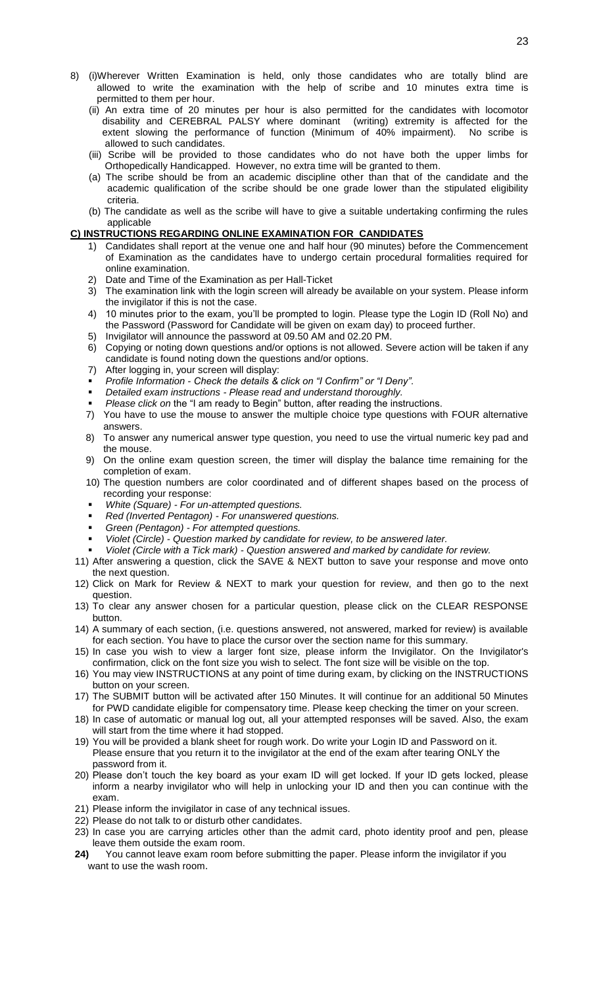- 8) (i)Wherever Written Examination is held, only those candidates who are totally blind are allowed to write the examination with the help of scribe and 10 minutes extra time is permitted to them per hour.
	- (ii) An extra time of 20 minutes per hour is also permitted for the candidates with locomotor disability and CEREBRAL PALSY where dominant (writing) extremity is affected for the extent slowing the performance of function (Minimum of 40% impairment). No scribe is allowed to such candidates.
	- (iii) Scribe will be provided to those candidates who do not have both the upper limbs for Orthopedically Handicapped. However, no extra time will be granted to them.
	- (a) The scribe should be from an academic discipline other than that of the candidate and the academic qualification of the scribe should be one grade lower than the stipulated eligibility criteria.
	- (b) The candidate as well as the scribe will have to give a suitable undertaking confirming the rules applicable

#### **C) INSTRUCTIONS REGARDING ONLINE EXAMINATION FOR CANDIDATES**

- 1) Candidates shall report at the venue one and half hour (90 minutes) before the Commencement of Examination as the candidates have to undergo certain procedural formalities required for online examination.
- 2) Date and Time of the Examination as per Hall-Ticket
- 3) The examination link with the login screen will already be available on your system. Please inform the invigilator if this is not the case.
- 4) 10 minutes prior to the exam, you'll be prompted to login. Please type the Login ID (Roll No) and the Password (Password for Candidate will be given on exam day) to proceed further.
- 5) Invigilator will announce the password at 09.50 AM and 02.20 PM.
- 6) Copying or noting down questions and/or options is not allowed. Severe action will be taken if any candidate is found noting down the questions and/or options.
- 7) After logging in, your screen will display:
- *Profile Information - Check the details & click on "I Confirm" or "I Deny".*
- *Detailed exam instructions - Please read and understand thoroughly.*
- *Please click on* the "I am ready to Begin" button, after reading the instructions.
- 7) You have to use the mouse to answer the multiple choice type questions with FOUR alternative answers.
- 8) To answer any numerical answer type question, you need to use the virtual numeric key pad and the mouse.
- 9) On the online exam question screen, the timer will display the balance time remaining for the completion of exam.
- 10) The question numbers are color coordinated and of different shapes based on the process of recording your response:
- *White (Square) - For un-attempted questions.*
- *Red (Inverted Pentagon) - For unanswered questions.*
- *Green (Pentagon) - For attempted questions.*
- *Violet (Circle) - Question marked by candidate for review, to be answered later.*
- *Violet (Circle with a Tick mark) - Question answered and marked by candidate for review.*
- 11) After answering a question, click the SAVE & NEXT button to save your response and move onto the next question.
- 12) Click on Mark for Review & NEXT to mark your question for review, and then go to the next question.
- 13) To clear any answer chosen for a particular question, please click on the CLEAR RESPONSE button.
- 14) A summary of each section, (i.e. questions answered, not answered, marked for review) is available for each section. You have to place the cursor over the section name for this summary.
- 15) In case you wish to view a larger font size, please inform the Invigilator. On the Invigilator's confirmation, click on the font size you wish to select. The font size will be visible on the top.
- 16) You may view INSTRUCTIONS at any point of time during exam, by clicking on the INSTRUCTIONS button on your screen.
- 17) The SUBMIT button will be activated after 150 Minutes. It will continue for an additional 50 Minutes for PWD candidate eligible for compensatory time. Please keep checking the timer on your screen.
- 18) In case of automatic or manual log out, all your attempted responses will be saved. Also, the exam will start from the time where it had stopped.
- 19) You will be provided a blank sheet for rough work. Do write your Login ID and Password on it. Please ensure that you return it to the invigilator at the end of the exam after tearing ONLY the password from it.
- 20) Please don't touch the key board as your exam ID will get locked. If your ID gets locked, please inform a nearby invigilator who will help in unlocking your ID and then you can continue with the exam.
- 21) Please inform the invigilator in case of any technical issues.
- 22) Please do not talk to or disturb other candidates.
- 23) In case you are carrying articles other than the admit card, photo identity proof and pen, please leave them outside the exam room.
- **24)** You cannot leave exam room before submitting the paper. Please inform the invigilator if you want to use the wash room.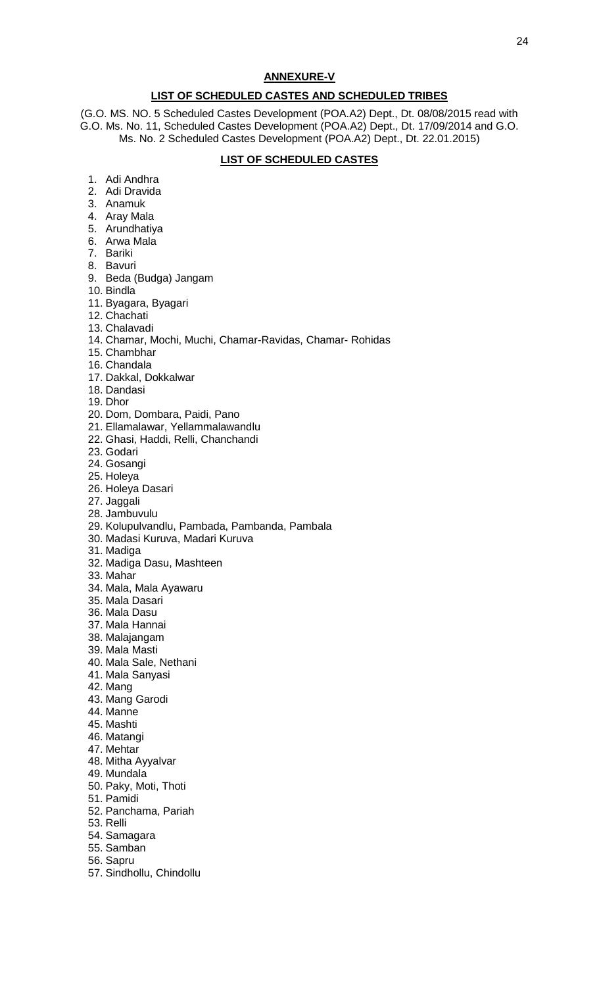#### **ANNEXURE-V**

#### **LIST OF SCHEDULED CASTES AND SCHEDULED TRIBES**

(G.O. MS. NO. 5 Scheduled Castes Development (POA.A2) Dept., Dt. 08/08/2015 read with G.O. Ms. No. 11, Scheduled Castes Development (POA.A2) Dept., Dt. 17/09/2014 and G.O. Ms. No. 2 Scheduled Castes Development (POA.A2) Dept., Dt. 22.01.2015)

#### **LIST OF SCHEDULED CASTES**

- 1. Adi Andhra
- 2. Adi Dravida
- 3. Anamuk
- 4. Aray Mala
- 5. Arundhatiya
- 6. Arwa Mala
- 7. Bariki
- 8. Bavuri
- 9. Beda (Budga) Jangam
- 10. Bindla
- 11. Byagara, Byagari
- 12. Chachati
- 13. Chalavadi
- 14. Chamar, Mochi, Muchi, Chamar-Ravidas, Chamar- Rohidas
- 15. Chambhar
- 16. Chandala
- 17. Dakkal, Dokkalwar
- 18. Dandasi
- 19. Dhor
- 20. Dom, Dombara, Paidi, Pano
- 21. Ellamalawar, Yellammalawandlu
- 22. Ghasi, Haddi, Relli, Chanchandi
- 23. Godari
- 24. Gosangi
- 25. Holeya
- 26. Holeya Dasari
- 27. Jaggali
- 28. Jambuvulu
- 29. Kolupulvandlu, Pambada, Pambanda, Pambala
- 30. Madasi Kuruva, Madari Kuruva
- 31. Madiga
- 32. Madiga Dasu, Mashteen
- 33. Mahar
- 34. Mala, Mala Ayawaru
- 35. Mala Dasari
- 36. Mala Dasu
- 37. Mala Hannai
- 38. Malajangam
- 39. Mala Masti
- 40. Mala Sale, Nethani
- 41. Mala Sanyasi
- 
- 42. Mang
- 43. Mang Garodi
- 44. Manne
- 45. Mashti
- 46. Matangi
- 47. Mehtar
- 48. Mitha Ayyalvar
- 49. Mundala
- 50. Paky, Moti, Thoti
- 51. Pamidi
- 52. Panchama, Pariah
- 53. Relli
- 54. Samagara
- 55. Samban
- 56. Sapru
- 57. Sindhollu, Chindollu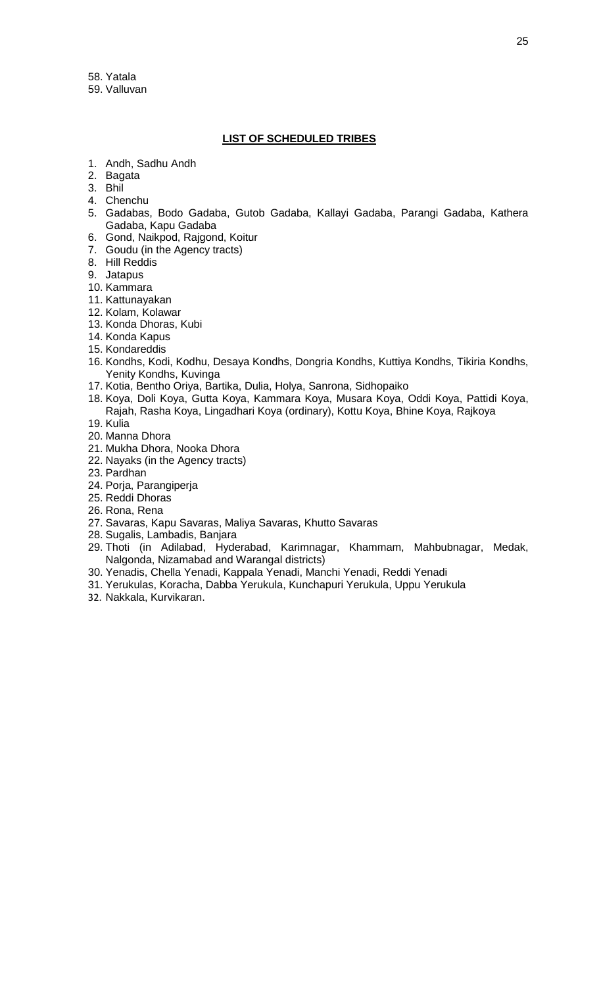58. Yatala 59. Valluvan

#### **LIST OF SCHEDULED TRIBES**

- 1. Andh, Sadhu Andh
- 2. Bagata
- 3. Bhil
- 4. Chenchu
- 5. Gadabas, Bodo Gadaba, Gutob Gadaba, Kallayi Gadaba, Parangi Gadaba, Kathera Gadaba, Kapu Gadaba
- 6. Gond, Naikpod, Rajgond, Koitur
- 7. Goudu (in the Agency tracts)
- 8. Hill Reddis
- 9. Jatapus
- 10. Kammara
- 11. Kattunayakan
- 12. Kolam, Kolawar
- 13. Konda Dhoras, Kubi
- 14. Konda Kapus
- 15. Kondareddis
- 16. Kondhs, Kodi, Kodhu, Desaya Kondhs, Dongria Kondhs, Kuttiya Kondhs, Tikiria Kondhs, Yenity Kondhs, Kuvinga
- 17. Kotia, Bentho Oriya, Bartika, Dulia, Holya, Sanrona, Sidhopaiko
- 18. Koya, Doli Koya, Gutta Koya, Kammara Koya, Musara Koya, Oddi Koya, Pattidi Koya,
- Rajah, Rasha Koya, Lingadhari Koya (ordinary), Kottu Koya, Bhine Koya, Rajkoya 19. Kulia
- 20. Manna Dhora
- 21. Mukha Dhora, Nooka Dhora
- 22. Nayaks (in the Agency tracts)
- 23. Pardhan
- 24. Porja, Parangiperja
- 25. Reddi Dhoras
- 26. Rona, Rena
- 27. Savaras, Kapu Savaras, Maliya Savaras, Khutto Savaras
- 28. Sugalis, Lambadis, Banjara
- 29. Thoti (in Adilabad, Hyderabad, Karimnagar, Khammam, Mahbubnagar, Medak, Nalgonda, Nizamabad and Warangal districts)
- 30. Yenadis, Chella Yenadi, Kappala Yenadi, Manchi Yenadi, Reddi Yenadi
- 31. Yerukulas, Koracha, Dabba Yerukula, Kunchapuri Yerukula, Uppu Yerukula
- 32. Nakkala, Kurvikaran.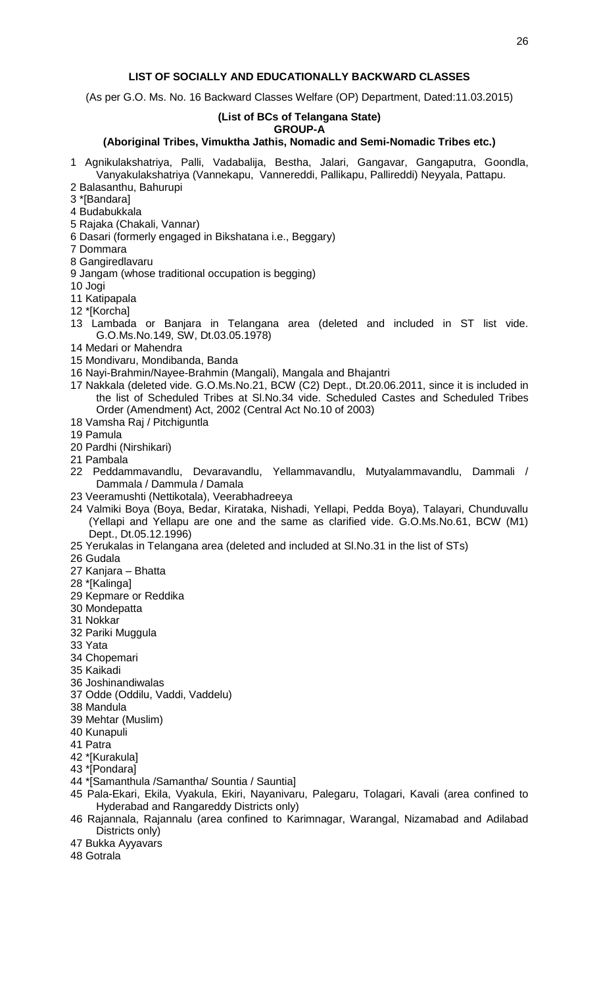#### **LIST OF SOCIALLY AND EDUCATIONALLY BACKWARD CLASSES**

(As per G.O. Ms. No. 16 Backward Classes Welfare (OP) Department, Dated:11.03.2015)

#### **(List of BCs of Telangana State)**

#### **GROUP-A**

#### **(Aboriginal Tribes, Vimuktha Jathis, Nomadic and Semi-Nomadic Tribes etc.)**

- 1 Agnikulakshatriya, Palli, Vadabalija, Bestha, Jalari, Gangavar, Gangaputra, Goondla, Vanyakulakshatriya (Vannekapu, Vannereddi, Pallikapu, Pallireddi) Neyyala, Pattapu.
- 2 Balasanthu, Bahurupi
- 3 \*[Bandara]
- 4 Budabukkala
- 5 Rajaka (Chakali, Vannar)
- 6 Dasari (formerly engaged in Bikshatana i.e., Beggary)
- 7 Dommara
- 8 Gangiredlavaru
- 9 Jangam (whose traditional occupation is begging)
- 10 Jogi
- 11 Katipapala
- 12 \*[Korcha]
- 13 Lambada or Banjara in Telangana area (deleted and included in ST list vide. G.O.Ms.No.149, SW, Dt.03.05.1978)
- 14 Medari or Mahendra
- 15 Mondivaru, Mondibanda, Banda
- 16 Nayi-Brahmin/Nayee-Brahmin (Mangali), Mangala and Bhajantri
- 17 Nakkala (deleted vide. G.O.Ms.No.21, BCW (C2) Dept., Dt.20.06.2011, since it is included in the list of Scheduled Tribes at Sl.No.34 vide. Scheduled Castes and Scheduled Tribes Order (Amendment) Act, 2002 (Central Act No.10 of 2003)
- 18 Vamsha Raj / Pitchiguntla
- 19 Pamula
- 20 Pardhi (Nirshikari)
- 21 Pambala
- 22 Peddammavandlu, Devaravandlu, Yellammavandlu, Mutyalammavandlu, Dammali / Dammala / Dammula / Damala
- 23 Veeramushti (Nettikotala), Veerabhadreeya
- 24 Valmiki Boya (Boya, Bedar, Kirataka, Nishadi, Yellapi, Pedda Boya), Talayari, Chunduvallu (Yellapi and Yellapu are one and the same as clarified vide. G.O.Ms.No.61, BCW (M1) Dept., Dt.05.12.1996)
- 25 Yerukalas in Telangana area (deleted and included at Sl.No.31 in the list of STs)
- 26 Gudala
- 27 Kanjara Bhatta
- 28 \*[Kalinga]
- 29 Kepmare or Reddika
- 30 Mondepatta
- 31 Nokkar
- 32 Pariki Muggula
- 33 Yata
- 34 Chopemari
- 35 Kaikadi
- 36 Joshinandiwalas
- 37 Odde (Oddilu, Vaddi, Vaddelu)
- 38 Mandula
- 39 Mehtar (Muslim)
- 40 Kunapuli
- 41 Patra
- 42 \*[Kurakula]
- 43 \*[Pondara]
- 44 \*[Samanthula /Samantha/ Sountia / Sauntia]
- 45 Pala-Ekari, Ekila, Vyakula, Ekiri, Nayanivaru, Palegaru, Tolagari, Kavali (area confined to Hyderabad and Rangareddy Districts only)
- 46 Rajannala, Rajannalu (area confined to Karimnagar, Warangal, Nizamabad and Adilabad Districts only)
- 47 Bukka Ayyavars
- 48 Gotrala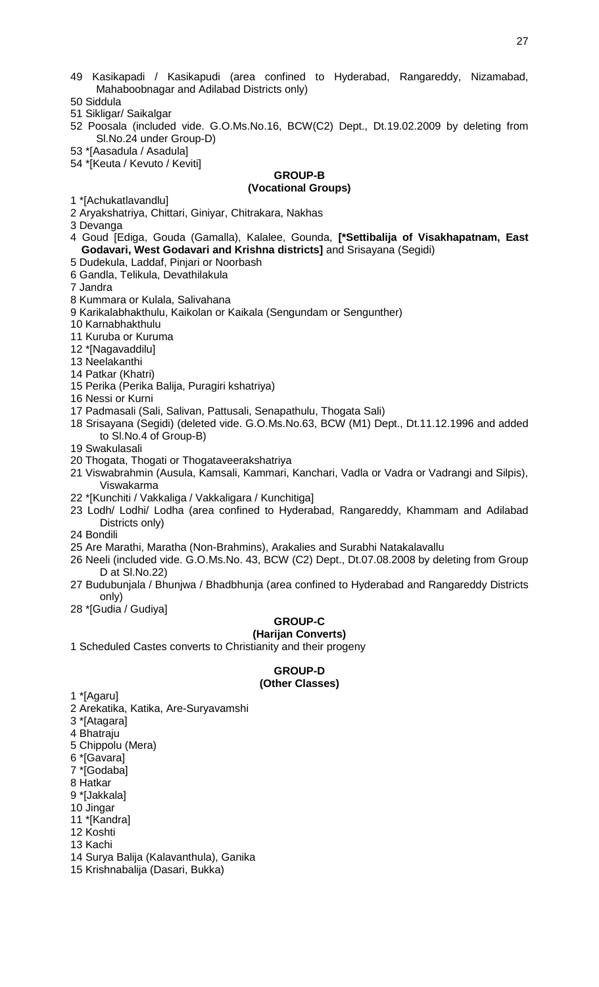- 49 Kasikapadi / Kasikapudi (area confined to Hyderabad, Rangareddy, Nizamabad, Mahaboobnagar and Adilabad Districts only)
- 50 Siddula
- 51 Sikligar/ Saikalgar
- 52 Poosala (included vide. G.O.Ms.No.16, BCW(C2) Dept., Dt.19.02.2009 by deleting from Sl.No.24 under Group-D)
- 53 \*[Aasadula / Asadula]
- 54 \*[Keuta / Kevuto / Keviti]

# **GROUP-B**

# **(Vocational Groups)**

- 1 \*[Achukatlavandlu]
- 2 Aryakshatriya, Chittari, Giniyar, Chitrakara, Nakhas
- 3 Devanga
- 4 Goud [Ediga, Gouda (Gamalla), Kalalee, Gounda, **[\*Settibalija of Visakhapatnam, East Godavari, West Godavari and Krishna districts]** and Srisayana (Segidi)
- 5 Dudekula, Laddaf, Pinjari or Noorbash 6 Gandla, Telikula, Devathilakula
- 7 Jandra
- 8 Kummara or Kulala, Salivahana
- 9 Karikalabhakthulu, Kaikolan or Kaikala (Sengundam or Sengunther)
- 10 Karnabhakthulu
- 11 Kuruba or Kuruma
- 12 \*[Nagavaddilu]
- 13 Neelakanthi
- 14 Patkar (Khatri)
- 15 Perika (Perika Balija, Puragiri kshatriya)
- 16 Nessi or Kurni
- 17 Padmasali (Sali, Salivan, Pattusali, Senapathulu, Thogata Sali)
- 18 Srisayana (Segidi) (deleted vide. G.O.Ms.No.63, BCW (M1) Dept., Dt.11.12.1996 and added to Sl.No.4 of Group-B)
- 19 Swakulasali
- 20 Thogata, Thogati or Thogataveerakshatriya
- 21 Viswabrahmin (Ausula, Kamsali, Kammari, Kanchari, Vadla or Vadra or Vadrangi and Silpis), Viswakarma
- 22 \*[Kunchiti / Vakkaliga / Vakkaligara / Kunchitiga]
- 23 Lodh/ Lodhi/ Lodha (area confined to Hyderabad, Rangareddy, Khammam and Adilabad Districts only)
- 24 Bondili
- 25 Are Marathi, Maratha (Non-Brahmins), Arakalies and Surabhi Natakalavallu
- 26 Neeli (included vide. G.O.Ms.No. 43, BCW (C2) Dept., Dt.07.08.2008 by deleting from Group D at Sl.No.22)
- 27 Budubunjala / Bhunjwa / Bhadbhunja (area confined to Hyderabad and Rangareddy Districts only)
- 28 \*[Gudia / Gudiya]

#### **GROUP-C (Harijan Converts)**

1 Scheduled Castes converts to Christianity and their progeny

# **GROUP-D (Other Classes)**

- 1 \*[Agaru]
- 2 Arekatika, Katika, Are-Suryavamshi
- 3 \*[Atagara]
- 4 Bhatraju
- 5 Chippolu (Mera)
- 6 \*[Gavara]
- 7 \*[Godaba]
- 8 Hatkar
- 9 \*[Jakkala]
- 10 Jingar
- 11 \*[Kandra]
- 12 Koshti
- 13 Kachi
- 14 Surya Balija (Kalavanthula), Ganika
- 15 Krishnabalija (Dasari, Bukka)